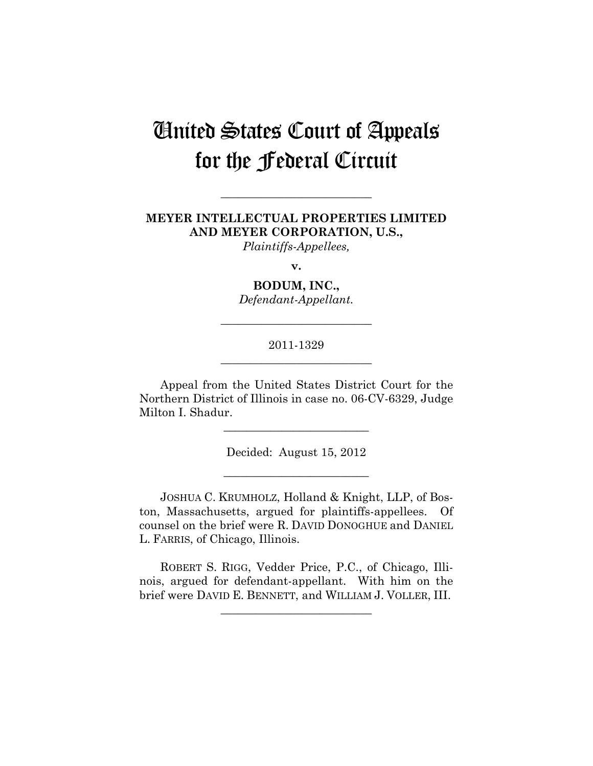# United States Court of Appeals for the Federal Circuit

## **MEYER INTELLECTUAL PROPERTIES LIMITED AND MEYER CORPORATION, U.S.,**

**\_\_\_\_\_\_\_\_\_\_\_\_\_\_\_\_\_\_\_\_\_\_\_\_\_\_** 

*Plaintiffs-Appellees,* 

**v.** 

**BODUM, INC.,** 

*Defendant-Appellant.* 

**\_\_\_\_\_\_\_\_\_\_\_\_\_\_\_\_\_\_\_\_\_\_\_\_\_\_** 

## 2011-1329 **\_\_\_\_\_\_\_\_\_\_\_\_\_\_\_\_\_\_\_\_\_\_\_\_\_\_**

Appeal from the United States District Court for the Northern District of Illinois in case no. 06-CV-6329, Judge Milton I. Shadur.

**\_\_\_\_\_\_\_\_\_\_\_\_\_\_\_\_\_\_\_\_\_\_\_\_\_** 

Decided: August 15, 2012

**\_\_\_\_\_\_\_\_\_\_\_\_\_\_\_\_\_\_\_\_\_\_\_\_\_** 

JOSHUA C. KRUMHOLZ, Holland & Knight, LLP, of Boston, Massachusetts, argued for plaintiffs-appellees. Of counsel on the brief were R. DAVID DONOGHUE and DANIEL L. FARRIS, of Chicago, Illinois.

ROBERT S. RIGG, Vedder Price, P.C., of Chicago, Illinois, argued for defendant-appellant. With him on the brief were DAVID E. BENNETT, and WILLIAM J. VOLLER, III.

**\_\_\_\_\_\_\_\_\_\_\_\_\_\_\_\_\_\_\_\_\_\_\_\_\_\_**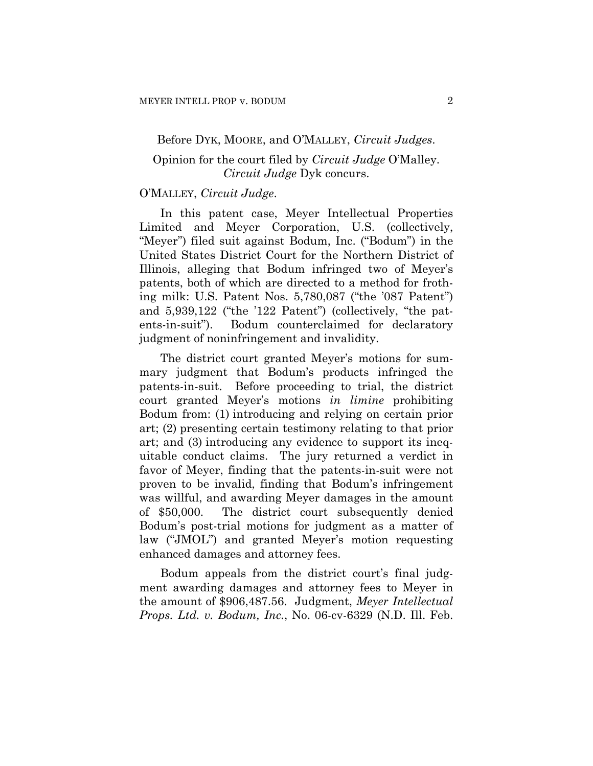#### Before DYK, MOORE, and O'MALLEY, *Circuit Judges*.

## Opinion for the court filed by *Circuit Judge* O'Malley. *Circuit Judge* Dyk concurs.

## O'MALLEY, *Circuit Judge*.

In this patent case, Meyer Intellectual Properties Limited and Meyer Corporation, U.S. (collectively, "Meyer") filed suit against Bodum, Inc. ("Bodum") in the United States District Court for the Northern District of Illinois, alleging that Bodum infringed two of Meyer's patents, both of which are directed to a method for frothing milk: U.S. Patent Nos. 5,780,087 ("the '087 Patent") and 5,939,122 ("the '122 Patent") (collectively, "the patents-in-suit"). Bodum counterclaimed for declaratory judgment of noninfringement and invalidity.

The district court granted Meyer's motions for summary judgment that Bodum's products infringed the patents-in-suit. Before proceeding to trial, the district court granted Meyer's motions *in limine* prohibiting Bodum from: (1) introducing and relying on certain prior art; (2) presenting certain testimony relating to that prior art; and (3) introducing any evidence to support its inequitable conduct claims. The jury returned a verdict in favor of Meyer, finding that the patents-in-suit were not proven to be invalid, finding that Bodum's infringement was willful, and awarding Meyer damages in the amount of \$50,000. The district court subsequently denied Bodum's post-trial motions for judgment as a matter of law ("JMOL") and granted Meyer's motion requesting enhanced damages and attorney fees.

Bodum appeals from the district court's final judgment awarding damages and attorney fees to Meyer in the amount of \$906,487.56. Judgment, *Meyer Intellectual Props. Ltd. v. Bodum, Inc.*, No. 06-cv-6329 (N.D. Ill. Feb.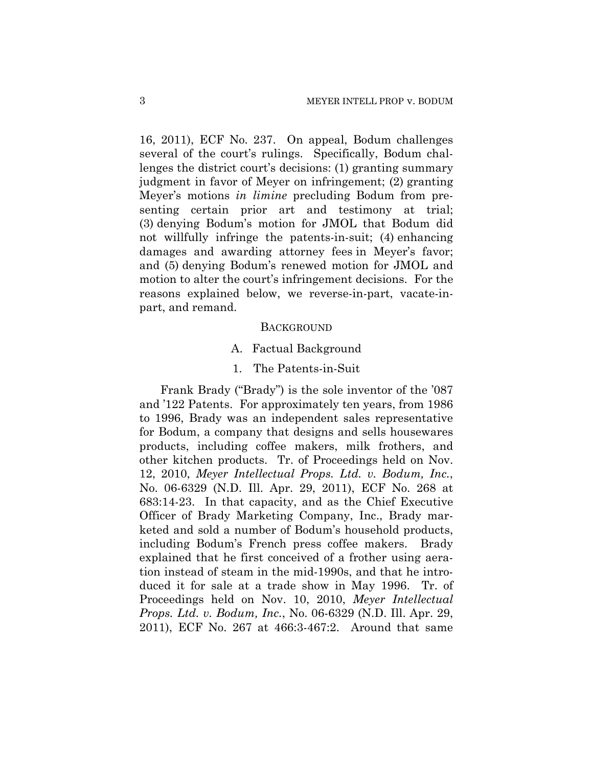16, 2011), ECF No. 237. On appeal, Bodum challenges several of the court's rulings. Specifically, Bodum challenges the district court's decisions: (1) granting summary judgment in favor of Meyer on infringement; (2) granting Meyer's motions *in limine* precluding Bodum from presenting certain prior art and testimony at trial; (3) denying Bodum's motion for JMOL that Bodum did not willfully infringe the patents-in-suit; (4) enhancing damages and awarding attorney fees in Meyer's favor; and (5) denying Bodum's renewed motion for JMOL and motion to alter the court's infringement decisions. For the reasons explained below, we reverse-in-part, vacate-inpart, and remand.

#### **BACKGROUND**

- A. Factual Background
- 1. The Patents-in-Suit

Frank Brady ("Brady") is the sole inventor of the '087 and '122 Patents. For approximately ten years, from 1986 to 1996, Brady was an independent sales representative for Bodum, a company that designs and sells housewares products, including coffee makers, milk frothers, and other kitchen products. Tr. of Proceedings held on Nov. 12, 2010, *Meyer Intellectual Props. Ltd. v. Bodum, Inc.*, No. 06-6329 (N.D. Ill. Apr. 29, 2011), ECF No. 268 at 683:14-23. In that capacity, and as the Chief Executive Officer of Brady Marketing Company, Inc., Brady marketed and sold a number of Bodum's household products, including Bodum's French press coffee makers. Brady explained that he first conceived of a frother using aeration instead of steam in the mid-1990s, and that he introduced it for sale at a trade show in May 1996. Tr. of Proceedings held on Nov. 10, 2010, *Meyer Intellectual Props. Ltd. v. Bodum, Inc.*, No. 06-6329 (N.D. Ill. Apr. 29, 2011), ECF No. 267 at 466:3-467:2. Around that same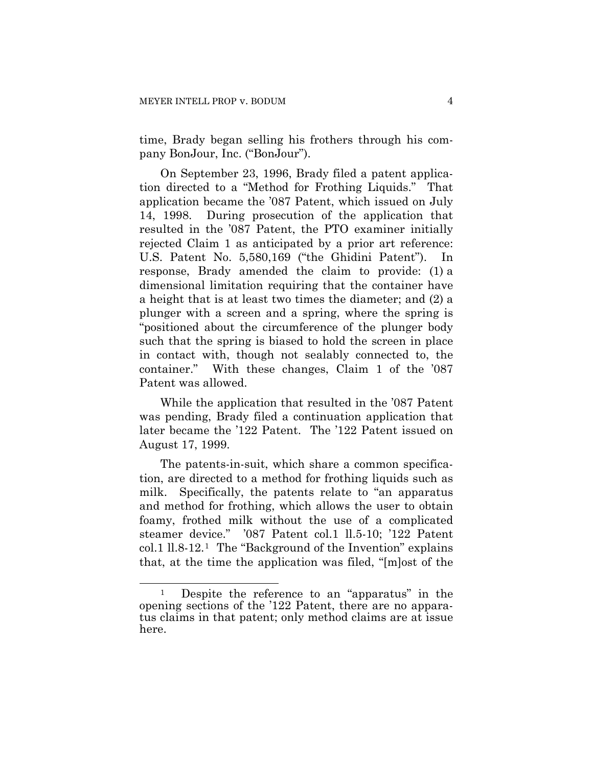time, Brady began selling his frothers through his company BonJour, Inc. ("BonJour").

On September 23, 1996, Brady filed a patent application directed to a "Method for Frothing Liquids." That application became the '087 Patent, which issued on July 14, 1998. During prosecution of the application that resulted in the '087 Patent, the PTO examiner initially rejected Claim 1 as anticipated by a prior art reference: U.S. Patent No. 5,580,169 ("the Ghidini Patent"). response, Brady amended the claim to provide: (1) a dimensional limitation requiring that the container have a height that is at least two times the diameter; and (2) a plunger with a screen and a spring, where the spring is "positioned about the circumference of the plunger body such that the spring is biased to hold the screen in place in contact with, though not sealably connected to, the container." With these changes, Claim 1 of the '087 Patent was allowed.

While the application that resulted in the '087 Patent was pending, Brady filed a continuation application that later became the '122 Patent. The '122 Patent issued on August 17, 1999.

The patents-in-suit, which share a common specification, are directed to a method for frothing liquids such as milk. Specifically, the patents relate to "an apparatus and method for frothing, which allows the user to obtain foamy, frothed milk without the use of a complicated steamer device." '087 Patent col.1 ll.5-10; '122 Patent col.1 ll.8-12.[1](#page-3-0) The "Background of the Invention" explains that, at the time the application was filed, "[m]ost of the

 $\overline{a}$ 

<span id="page-3-0"></span><sup>&</sup>lt;sup>1</sup> Despite the reference to an "apparatus" in the opening sections of the '122 Patent, there are no apparatus claims in that patent; only method claims are at issue here.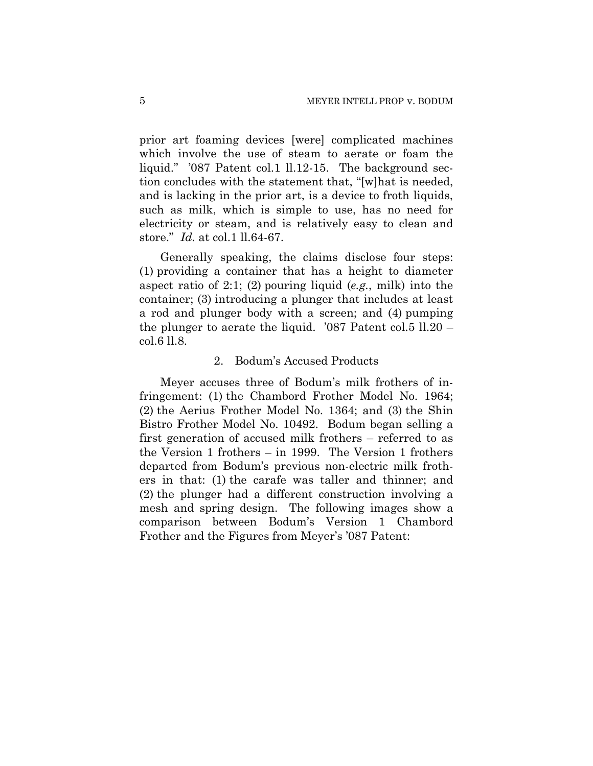prior art foaming devices [were] complicated machines which involve the use of steam to aerate or foam the liquid." '087 Patent col.1 ll.12-15. The background section concludes with the statement that, "[w]hat is needed, and is lacking in the prior art, is a device to froth liquids, such as milk, which is simple to use, has no need for electricity or steam, and is relatively easy to clean and store." *Id.* at col.1 ll.64-67.

Generally speaking, the claims disclose four steps: (1) providing a container that has a height to diameter aspect ratio of 2:1; (2) pouring liquid (*e.g.*, milk) into the container; (3) introducing a plunger that includes at least a rod and plunger body with a screen; and (4) pumping the plunger to aerate the liquid. '087 Patent col.5 ll.20 – col.6 ll.8.

#### 2. Bodum's Accused Products

Meyer accuses three of Bodum's milk frothers of infringement: (1) the Chambord Frother Model No. 1964; (2) the Aerius Frother Model No. 1364; and (3) the Shin Bistro Frother Model No. 10492. Bodum began selling a first generation of accused milk frothers – referred to as the Version 1 frothers – in 1999. The Version 1 frothers departed from Bodum's previous non-electric milk frothers in that: (1) the carafe was taller and thinner; and (2) the plunger had a different construction involving a mesh and spring design. The following images show a comparison between Bodum's Version 1 Chambord Frother and the Figures from Meyer's '087 Patent: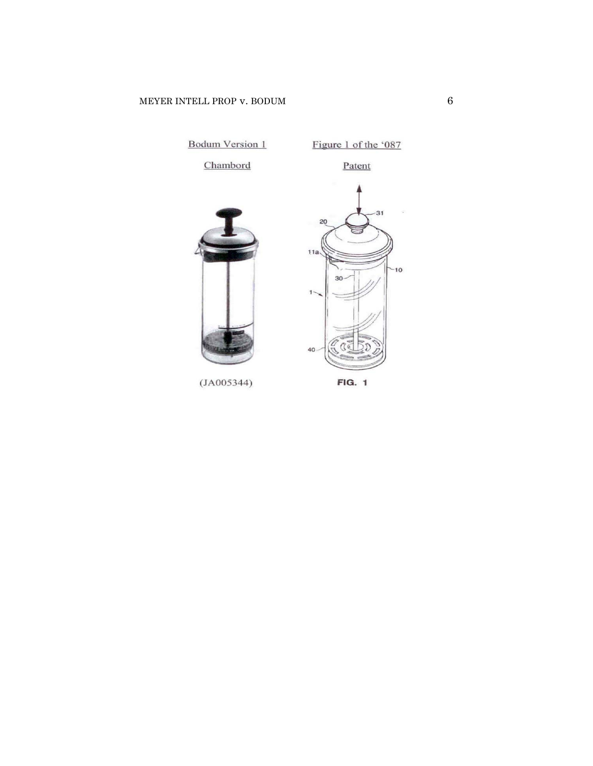

**FIG. 1**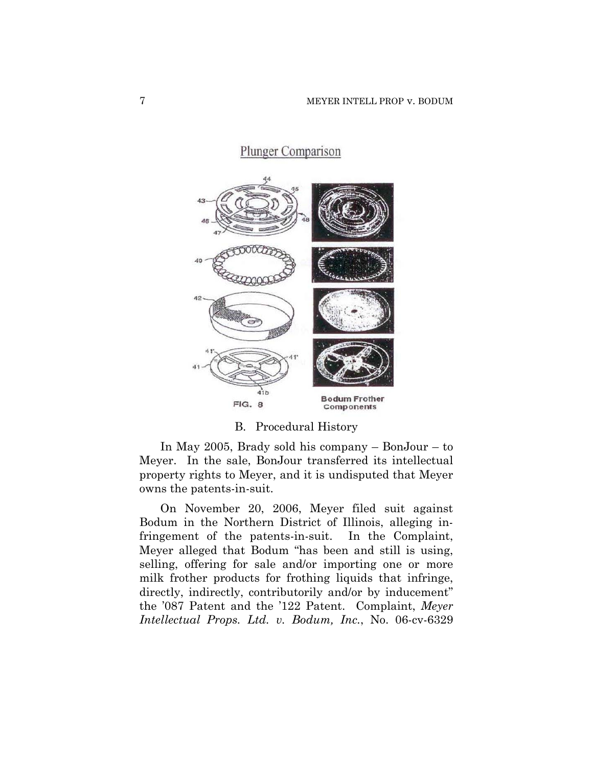

#### B. Procedural History

In May 2005, Brady sold his company – BonJour – to Meyer. In the sale, BonJour transferred its intellectual property rights to Meyer, and it is undisputed that Meyer owns the patents-in-suit.

On November 20, 2006, Meyer filed suit against Bodum in the Northern District of Illinois, alleging infringement of the patents-in-suit. In the Complaint, Meyer alleged that Bodum "has been and still is using, selling, offering for sale and/or importing one or more milk frother products for frothing liquids that infringe, directly, indirectly, contributorily and/or by inducement" the '087 Patent and the '122 Patent. Complaint, *Meyer Intellectual Props. Ltd. v. Bodum, Inc.*, No. 06-cv-6329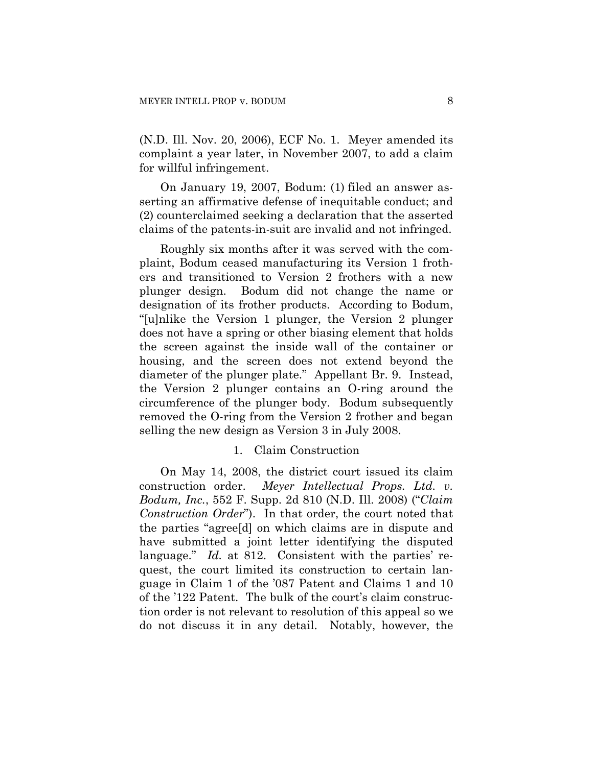(N.D. Ill. Nov. 20, 2006), ECF No. 1. Meyer amended its complaint a year later, in November 2007, to add a claim for willful infringement.

On January 19, 2007, Bodum: (1) filed an answer asserting an affirmative defense of inequitable conduct; and (2) counterclaimed seeking a declaration that the asserted claims of the patents-in-suit are invalid and not infringed.

Roughly six months after it was served with the complaint, Bodum ceased manufacturing its Version 1 frothers and transitioned to Version 2 frothers with a new plunger design. Bodum did not change the name or designation of its frother products. According to Bodum, "[u]nlike the Version 1 plunger, the Version 2 plunger does not have a spring or other biasing element that holds the screen against the inside wall of the container or housing, and the screen does not extend beyond the diameter of the plunger plate." Appellant Br. 9. Instead, the Version 2 plunger contains an O-ring around the circumference of the plunger body. Bodum subsequently removed the O-ring from the Version 2 frother and began selling the new design as Version 3 in July 2008.

## 1. Claim Construction

On May 14, 2008, the district court issued its claim construction order. *Meyer Intellectual Props. Ltd. v. Bodum, Inc.*, 552 F. Supp. 2d 810 (N.D. Ill. 2008) ("*Claim Construction Order*"). In that order, the court noted that the parties "agree[d] on which claims are in dispute and have submitted a joint letter identifying the disputed language." *Id.* at 812. Consistent with the parties' request, the court limited its construction to certain language in Claim 1 of the '087 Patent and Claims 1 and 10 of the '122 Patent. The bulk of the court's claim construction order is not relevant to resolution of this appeal so we do not discuss it in any detail. Notably, however, the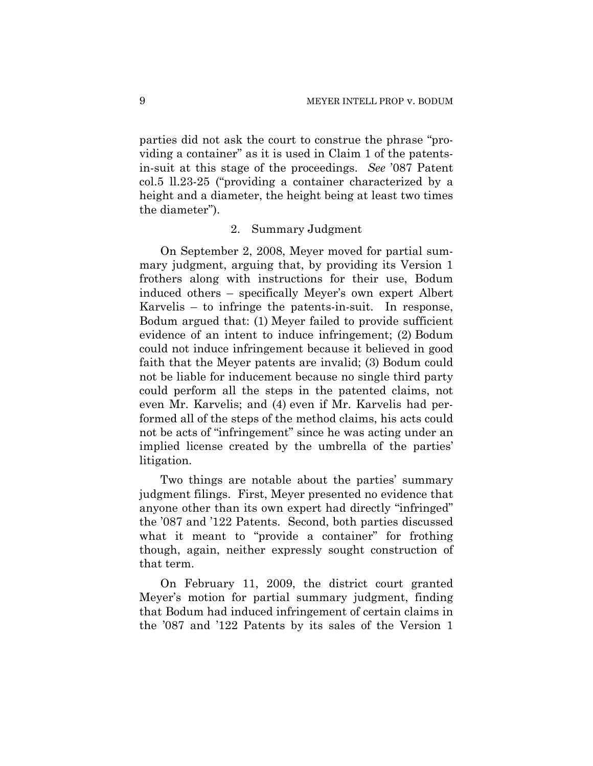parties did not ask the court to construe the phrase "providing a container" as it is used in Claim 1 of the patentsin-suit at this stage of the proceedings. *See* '087 Patent col.5 ll.23-25 ("providing a container characterized by a height and a diameter, the height being at least two times the diameter").

#### 2. Summary Judgment

On September 2, 2008, Meyer moved for partial summary judgment, arguing that, by providing its Version 1 frothers along with instructions for their use, Bodum induced others – specifically Meyer's own expert Albert Karvelis – to infringe the patents-in-suit. In response, Bodum argued that: (1) Meyer failed to provide sufficient evidence of an intent to induce infringement; (2) Bodum could not induce infringement because it believed in good faith that the Meyer patents are invalid; (3) Bodum could not be liable for inducement because no single third party could perform all the steps in the patented claims, not even Mr. Karvelis; and (4) even if Mr. Karvelis had performed all of the steps of the method claims, his acts could not be acts of "infringement" since he was acting under an implied license created by the umbrella of the parties' litigation.

Two things are notable about the parties' summary judgment filings. First, Meyer presented no evidence that anyone other than its own expert had directly "infringed" the '087 and '122 Patents. Second, both parties discussed what it meant to "provide a container" for frothing though, again, neither expressly sought construction of that term.

On February 11, 2009, the district court granted Meyer's motion for partial summary judgment, finding that Bodum had induced infringement of certain claims in the '087 and '122 Patents by its sales of the Version 1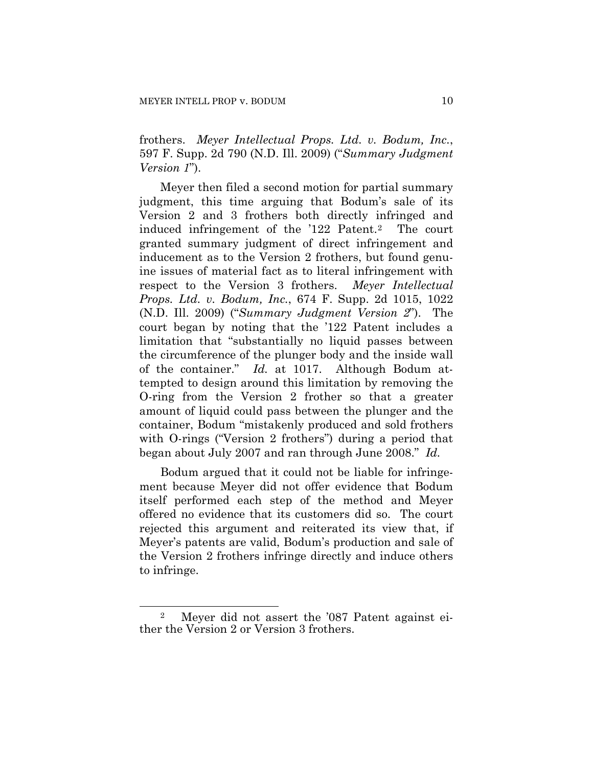frothers. *Meyer Intellectual Props. Ltd. v. Bodum, Inc.*, 597 F. Supp. 2d 790 (N.D. Ill. 2009) ("*Summary Judgment Version 1*").

Meyer then filed a second motion for partial summary judgment, this time arguing that Bodum's sale of its Version 2 and 3 frothers both directly infringed and induced infringement of the '122 Patent.[2](#page-9-0) The court granted summary judgment of direct infringement and inducement as to the Version 2 frothers, but found genuine issues of material fact as to literal infringement with respect to the Version 3 frothers. *Meyer Intellectual Props. Ltd. v. Bodum, Inc.*, 674 F. Supp. 2d 1015, 1022 (N.D. Ill. 2009) ("*Summary Judgment Version 2*"). The court began by noting that the '122 Patent includes a limitation that "substantially no liquid passes between the circumference of the plunger body and the inside wall of the container." *Id.* at 1017. Although Bodum attempted to design around this limitation by removing the O-ring from the Version 2 frother so that a greater amount of liquid could pass between the plunger and the container, Bodum "mistakenly produced and sold frothers with O-rings ("Version 2 frothers") during a period that began about July 2007 and ran through June 2008." *Id.*

Bodum argued that it could not be liable for infringement because Meyer did not offer evidence that Bodum itself performed each step of the method and Meyer offered no evidence that its customers did so. The court rejected this argument and reiterated its view that, if Meyer's patents are valid, Bodum's production and sale of the Version 2 frothers infringe directly and induce others to infringe.

 $\overline{a}$ 

<span id="page-9-0"></span><sup>2</sup> Meyer did not assert the '087 Patent against either the Version 2 or Version 3 frothers.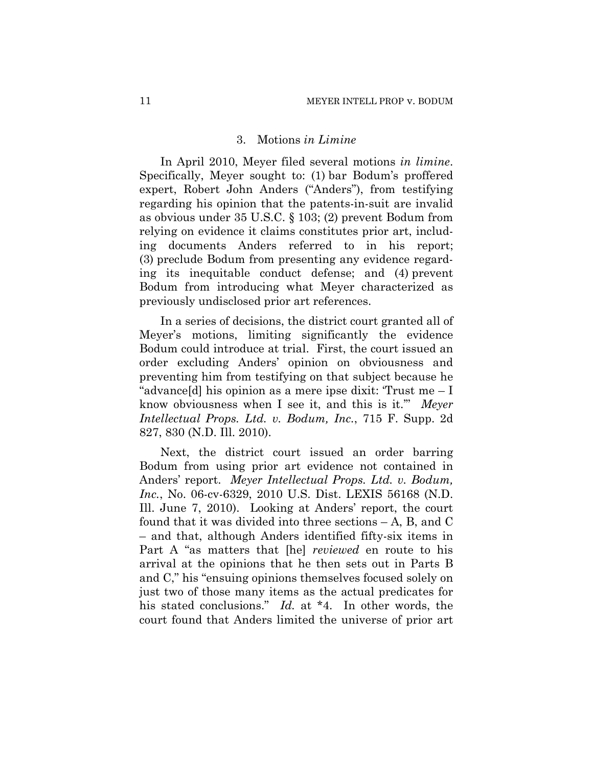#### 3. Motions *in Limine*

In April 2010, Meyer filed several motions *in limine*. Specifically, Meyer sought to: (1) bar Bodum's proffered expert, Robert John Anders ("Anders"), from testifying regarding his opinion that the patents-in-suit are invalid as obvious under 35 U.S.C. § 103; (2) prevent Bodum from relying on evidence it claims constitutes prior art, including documents Anders referred to in his report; (3) preclude Bodum from presenting any evidence regarding its inequitable conduct defense; and (4) prevent Bodum from introducing what Meyer characterized as previously undisclosed prior art references.

In a series of decisions, the district court granted all of Meyer's motions, limiting significantly the evidence Bodum could introduce at trial. First, the court issued an order excluding Anders' opinion on obviousness and preventing him from testifying on that subject because he "advance[d] his opinion as a mere ipse dixit: 'Trust me – I know obviousness when I see it, and this is it.'" *Meyer Intellectual Props. Ltd. v. Bodum, Inc.*, 715 F. Supp. 2d 827, 830 (N.D. Ill. 2010).

Next, the district court issued an order barring Bodum from using prior art evidence not contained in Anders' report. *Meyer Intellectual Props. Ltd. v. Bodum, Inc.*, No. 06-cv-6329, 2010 U.S. Dist. LEXIS 56168 (N.D. Ill. June 7, 2010). Looking at Anders' report, the court found that it was divided into three sections – A, B, and C – and that, although Anders identified fifty-six items in Part A "as matters that [he] *reviewed* en route to his arrival at the opinions that he then sets out in Parts B and C," his "ensuing opinions themselves focused solely on just two of those many items as the actual predicates for his stated conclusions." *Id.* at \*4. In other words, the court found that Anders limited the universe of prior art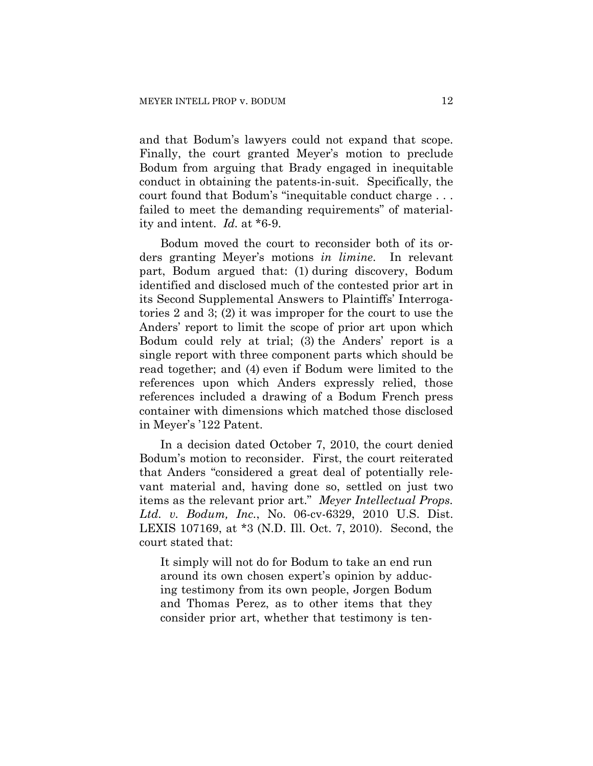and that Bodum's lawyers could not expand that scope. Finally, the court granted Meyer's motion to preclude Bodum from arguing that Brady engaged in inequitable conduct in obtaining the patents-in-suit. Specifically, the court found that Bodum's "inequitable conduct charge . . . failed to meet the demanding requirements" of materiality and intent. *Id.* at \*6-9.

Bodum moved the court to reconsider both of its orders granting Meyer's motions *in limine*. In relevant part, Bodum argued that: (1) during discovery, Bodum identified and disclosed much of the contested prior art in its Second Supplemental Answers to Plaintiffs' Interrogatories 2 and 3; (2) it was improper for the court to use the Anders' report to limit the scope of prior art upon which Bodum could rely at trial; (3) the Anders' report is a single report with three component parts which should be read together; and (4) even if Bodum were limited to the references upon which Anders expressly relied, those references included a drawing of a Bodum French press container with dimensions which matched those disclosed in Meyer's '122 Patent.

In a decision dated October 7, 2010, the court denied Bodum's motion to reconsider. First, the court reiterated that Anders "considered a great deal of potentially relevant material and, having done so, settled on just two items as the relevant prior art." *Meyer Intellectual Props. Ltd. v. Bodum, Inc.*, No. 06-cv-6329, 2010 U.S. Dist. LEXIS 107169, at \*3 (N.D. Ill. Oct. 7, 2010). Second, the court stated that:

It simply will not do for Bodum to take an end run around its own chosen expert's opinion by adducing testimony from its own people, Jorgen Bodum and Thomas Perez, as to other items that they consider prior art, whether that testimony is ten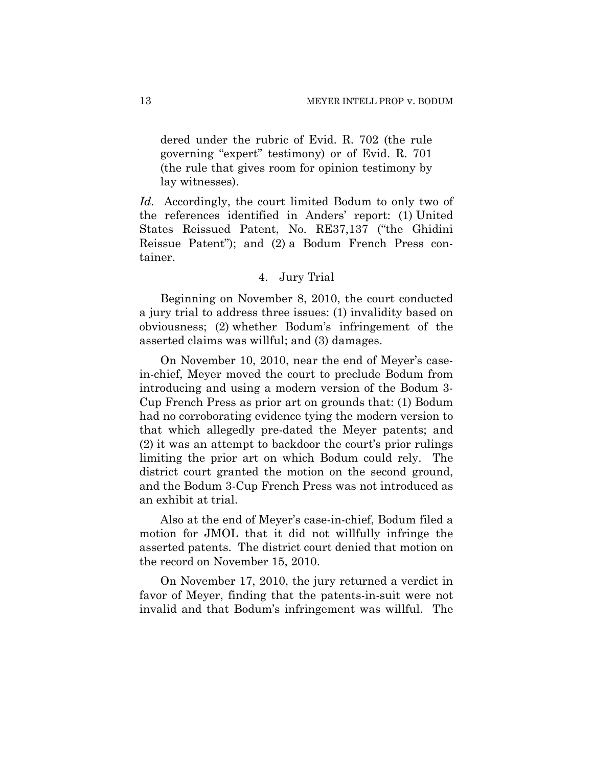dered under the rubric of Evid. R. 702 (the rule governing "expert" testimony) or of Evid. R. 701 (the rule that gives room for opinion testimony by lay witnesses).

*Id.* Accordingly, the court limited Bodum to only two of the references identified in Anders' report: (1) United States Reissued Patent, No. RE37,137 ("the Ghidini Reissue Patent"); and (2) a Bodum French Press container.

## 4. Jury Trial

Beginning on November 8, 2010, the court conducted a jury trial to address three issues: (1) invalidity based on obviousness; (2) whether Bodum's infringement of the asserted claims was willful; and (3) damages.

On November 10, 2010, near the end of Meyer's casein-chief, Meyer moved the court to preclude Bodum from introducing and using a modern version of the Bodum 3- Cup French Press as prior art on grounds that: (1) Bodum had no corroborating evidence tying the modern version to that which allegedly pre-dated the Meyer patents; and (2) it was an attempt to backdoor the court's prior rulings limiting the prior art on which Bodum could rely. The district court granted the motion on the second ground, and the Bodum 3-Cup French Press was not introduced as an exhibit at trial.

Also at the end of Meyer's case-in-chief, Bodum filed a motion for JMOL that it did not willfully infringe the asserted patents. The district court denied that motion on the record on November 15, 2010.

On November 17, 2010, the jury returned a verdict in favor of Meyer, finding that the patents-in-suit were not invalid and that Bodum's infringement was willful. The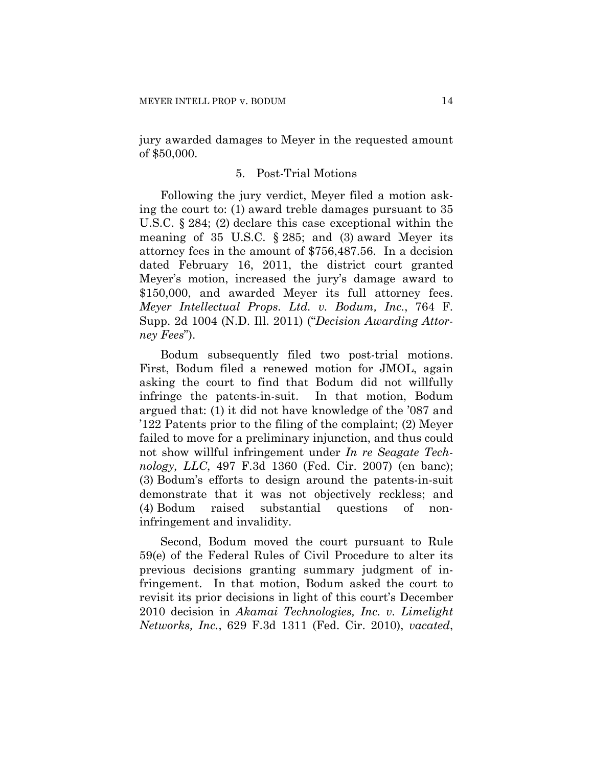jury awarded damages to Meyer in the requested amount of \$50,000.

#### 5. Post-Trial Motions

Following the jury verdict, Meyer filed a motion asking the court to: (1) award treble damages pursuant to 35 U.S.C. § 284; (2) declare this case exceptional within the meaning of 35 U.S.C.  $\S 285$ ; and (3) award Meyer its attorney fees in the amount of \$756,487.56. In a decision dated February 16, 2011, the district court granted Meyer's motion, increased the jury's damage award to \$150,000, and awarded Meyer its full attorney fees. *Meyer Intellectual Props. Ltd. v. Bodum, Inc.*, 764 F. Supp. 2d 1004 (N.D. Ill. 2011) ("*Decision Awarding Attorney Fees*").

Bodum subsequently filed two post-trial motions. First, Bodum filed a renewed motion for JMOL, again asking the court to find that Bodum did not willfully infringe the patents-in-suit. In that motion, Bodum argued that: (1) it did not have knowledge of the '087 and '122 Patents prior to the filing of the complaint; (2) Meyer failed to move for a preliminary injunction, and thus could not show willful infringement under *In re Seagate Technology, LLC*, 497 F.3d 1360 (Fed. Cir. 2007) (en banc); (3) Bodum's efforts to design around the patents-in-suit demonstrate that it was not objectively reckless; and (4) Bodum raised substantial questions of noninfringement and invalidity.

Second, Bodum moved the court pursuant to Rule 59(e) of the Federal Rules of Civil Procedure to alter its previous decisions granting summary judgment of infringement. In that motion, Bodum asked the court to revisit its prior decisions in light of this court's December 2010 decision in *Akamai Technologies, Inc. v. Limelight Networks, Inc.*, 629 F.3d 1311 (Fed. Cir. 2010), *vacated*,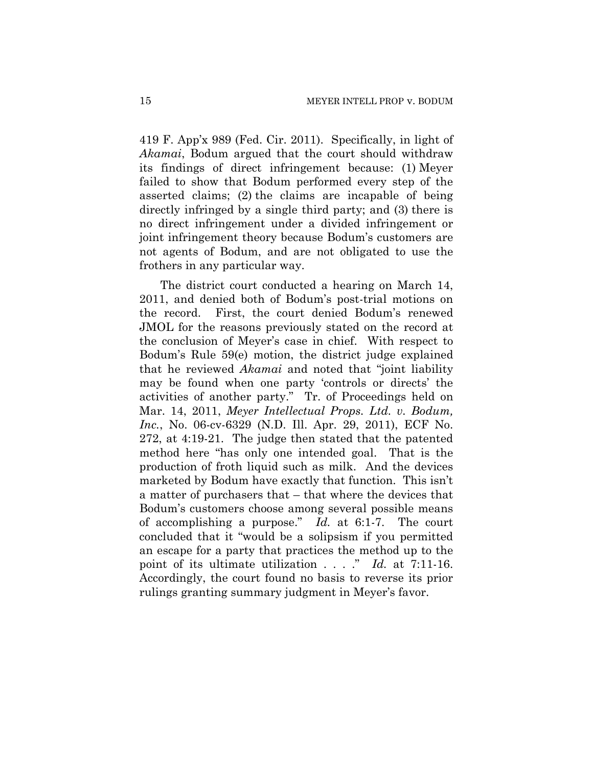419 F. App'x 989 (Fed. Cir. 2011). Specifically, in light of *Akamai*, Bodum argued that the court should withdraw its findings of direct infringement because: (1) Meyer failed to show that Bodum performed every step of the asserted claims; (2) the claims are incapable of being directly infringed by a single third party; and (3) there is no direct infringement under a divided infringement or joint infringement theory because Bodum's customers are not agents of Bodum, and are not obligated to use the frothers in any particular way.

The district court conducted a hearing on March 14, 2011, and denied both of Bodum's post-trial motions on the record. First, the court denied Bodum's renewed JMOL for the reasons previously stated on the record at the conclusion of Meyer's case in chief. With respect to Bodum's Rule 59(e) motion, the district judge explained that he reviewed *Akamai* and noted that "joint liability may be found when one party 'controls or directs' the activities of another party." Tr. of Proceedings held on Mar. 14, 2011, *Meyer Intellectual Props. Ltd. v. Bodum, Inc.*, No. 06-cv-6329 (N.D. Ill. Apr. 29, 2011), ECF No. 272, at 4:19-21. The judge then stated that the patented method here "has only one intended goal. That is the production of froth liquid such as milk. And the devices marketed by Bodum have exactly that function. This isn't a matter of purchasers that – that where the devices that Bodum's customers choose among several possible means of accomplishing a purpose." *Id.* at 6:1-7. The court concluded that it "would be a solipsism if you permitted an escape for a party that practices the method up to the point of its ultimate utilization . . . ." *Id.* at 7:11-16. Accordingly, the court found no basis to reverse its prior rulings granting summary judgment in Meyer's favor.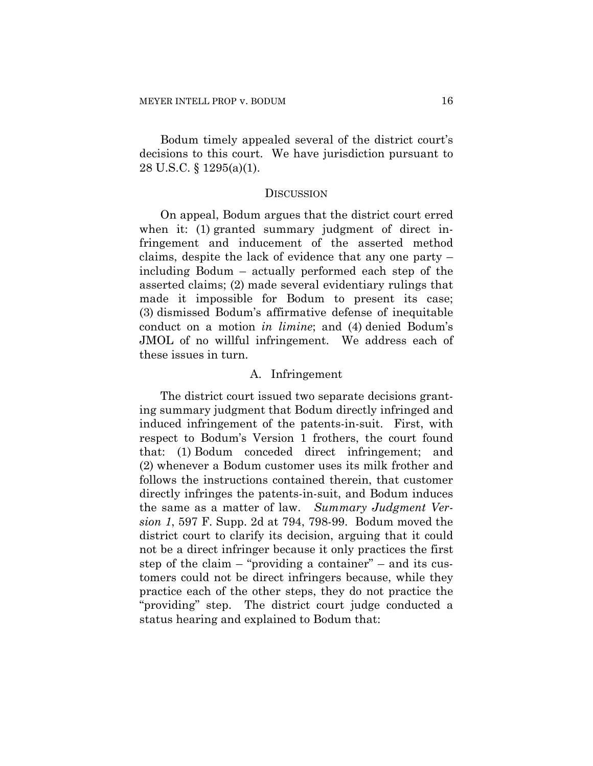Bodum timely appealed several of the district court's decisions to this court. We have jurisdiction pursuant to 28 U.S.C. § 1295(a)(1).

#### **DISCUSSION**

On appeal, Bodum argues that the district court erred when it: (1) granted summary judgment of direct infringement and inducement of the asserted method claims, despite the lack of evidence that any one party – including Bodum – actually performed each step of the asserted claims; (2) made several evidentiary rulings that made it impossible for Bodum to present its case; (3) dismissed Bodum's affirmative defense of inequitable conduct on a motion *in limine*; and (4) denied Bodum's JMOL of no willful infringement. We address each of these issues in turn.

#### A. Infringement

The district court issued two separate decisions granting summary judgment that Bodum directly infringed and induced infringement of the patents-in-suit. First, with respect to Bodum's Version 1 frothers, the court found that: (1) Bodum conceded direct infringement; and (2) whenever a Bodum customer uses its milk frother and follows the instructions contained therein, that customer directly infringes the patents-in-suit, and Bodum induces the same as a matter of law. *Summary Judgment Version 1*, 597 F. Supp. 2d at 794, 798-99. Bodum moved the district court to clarify its decision, arguing that it could not be a direct infringer because it only practices the first step of the claim – "providing a container" – and its customers could not be direct infringers because, while they practice each of the other steps, they do not practice the "providing" step. The district court judge conducted a status hearing and explained to Bodum that: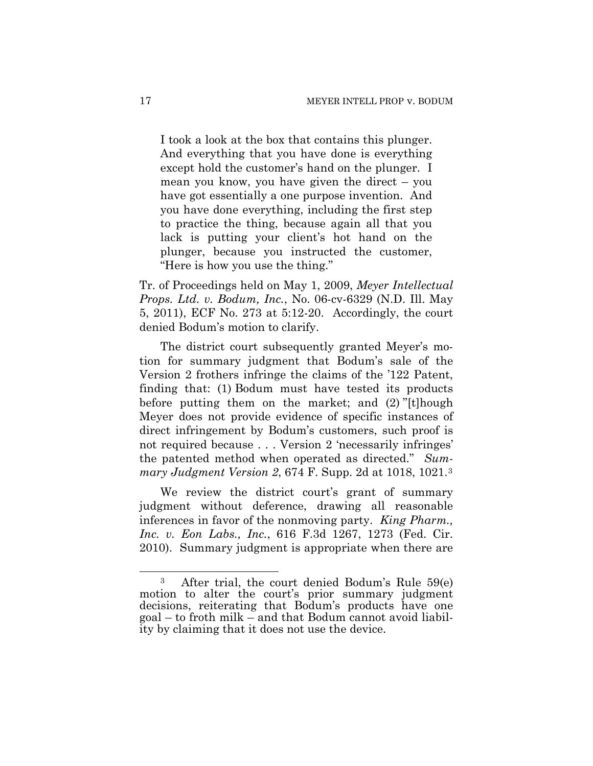I took a look at the box that contains this plunger. And everything that you have done is everything except hold the customer's hand on the plunger. I mean you know, you have given the direct – you have got essentially a one purpose invention. And you have done everything, including the first step to practice the thing, because again all that you lack is putting your client's hot hand on the plunger, because you instructed the customer, "Here is how you use the thing."

Tr. of Proceedings held on May 1, 2009, *Meyer Intellectual Props. Ltd. v. Bodum, Inc.*, No. 06-cv-6329 (N.D. Ill. May 5, 2011), ECF No. 273 at 5:12-20. Accordingly, the court denied Bodum's motion to clarify.

The district court subsequently granted Meyer's motion for summary judgment that Bodum's sale of the Version 2 frothers infringe the claims of the '122 Patent, finding that: (1) Bodum must have tested its products before putting them on the market; and (2) "[t]hough Meyer does not provide evidence of specific instances of direct infringement by Bodum's customers, such proof is not required because . . . Version 2 'necessarily infringes' the patented method when operated as directed." *Summary Judgment Version 2*, 674 F. Supp. 2d at 1018, 1021.[3](#page-16-0)

We review the district court's grant of summary judgment without deference, drawing all reasonable inferences in favor of the nonmoving party. *King Pharm., Inc. v. Eon Labs., Inc.*, 616 F.3d 1267, 1273 (Fed. Cir. 2010). Summary judgment is appropriate when there are

 $\overline{a}$ 

<span id="page-16-0"></span><sup>3</sup> After trial, the court denied Bodum's Rule 59(e) motion to alter the court's prior summary judgment decisions, reiterating that Bodum's products have one goal – to froth milk – and that Bodum cannot avoid liability by claiming that it does not use the device.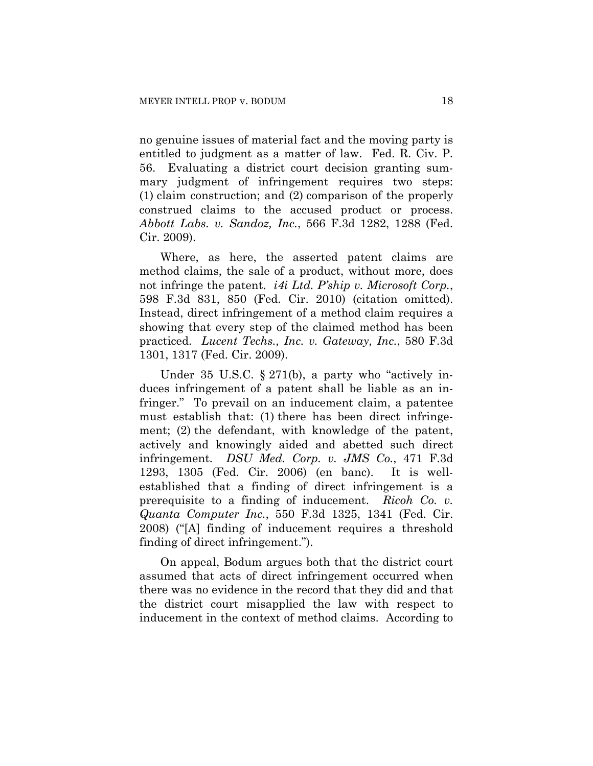no genuine issues of material fact and the moving party is entitled to judgment as a matter of law. Fed. R. Civ. P. 56. Evaluating a district court decision granting summary judgment of infringement requires two steps: (1) claim construction; and (2) comparison of the properly construed claims to the accused product or process. *Abbott Labs. v. Sandoz, Inc.*, 566 F.3d 1282, 1288 (Fed. Cir. 2009).

Where, as here, the asserted patent claims are method claims, the sale of a product, without more, does not infringe the patent. *i4i Ltd. P'ship v. Microsoft Corp.*, 598 F.3d 831, 850 (Fed. Cir. 2010) (citation omitted). Instead, direct infringement of a method claim requires a showing that every step of the claimed method has been practiced. *Lucent Techs., Inc. v. Gateway, Inc.*, 580 F.3d 1301, 1317 (Fed. Cir. 2009).

Under 35 U.S.C. § 271(b), a party who "actively induces infringement of a patent shall be liable as an infringer." To prevail on an inducement claim, a patentee must establish that: (1) there has been direct infringement; (2) the defendant, with knowledge of the patent, actively and knowingly aided and abetted such direct infringement*. DSU Med. Corp. v. JMS Co.*, 471 F.3d 1293, 1305 (Fed. Cir. 2006) (en banc). It is wellestablished that a finding of direct infringement is a prerequisite to a finding of inducement. *Ricoh Co. v. Quanta Computer Inc.*, 550 F.3d 1325, 1341 (Fed. Cir. 2008) ("[A] finding of inducement requires a threshold finding of direct infringement.").

On appeal, Bodum argues both that the district court assumed that acts of direct infringement occurred when there was no evidence in the record that they did and that the district court misapplied the law with respect to inducement in the context of method claims. According to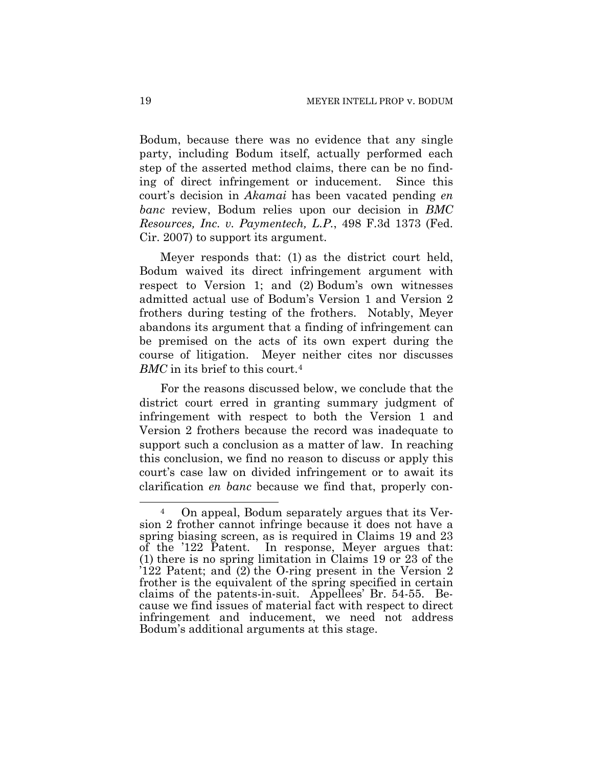Bodum, because there was no evidence that any single party, including Bodum itself, actually performed each step of the asserted method claims, there can be no finding of direct infringement or inducement. Since this court's decision in *Akamai* has been vacated pending *en banc* review, Bodum relies upon our decision in *BMC Resources, Inc. v. Paymentech, L.P.*, 498 F.3d 1373 (Fed. Cir. 2007) to support its argument.

Meyer responds that: (1) as the district court held, Bodum waived its direct infringement argument with respect to Version 1; and (2) Bodum's own witnesses admitted actual use of Bodum's Version 1 and Version 2 frothers during testing of the frothers. Notably, Meyer abandons its argument that a finding of infringement can be premised on the acts of its own expert during the course of litigation. Meyer neither cites nor discusses *BMC* in its brief to this court.[4](#page-18-0)

For the reasons discussed below, we conclude that the district court erred in granting summary judgment of infringement with respect to both the Version 1 and Version 2 frothers because the record was inadequate to support such a conclusion as a matter of law. In reaching this conclusion, we find no reason to discuss or apply this court's case law on divided infringement or to await its clarification *en banc* because we find that, properly con-

1

<span id="page-18-0"></span><sup>4</sup> On appeal, Bodum separately argues that its Version 2 frother cannot infringe because it does not have a spring biasing screen, as is required in Claims 19 and 23 of the '122 Patent. In response, Meyer argues that: (1) there is no spring limitation in Claims 19 or 23 of the '122 Patent; and (2) the O-ring present in the Version 2 frother is the equivalent of the spring specified in certain claims of the patents-in-suit. Appellees' Br. 54-55. Because we find issues of material fact with respect to direct infringement and inducement, we need not address Bodum's additional arguments at this stage.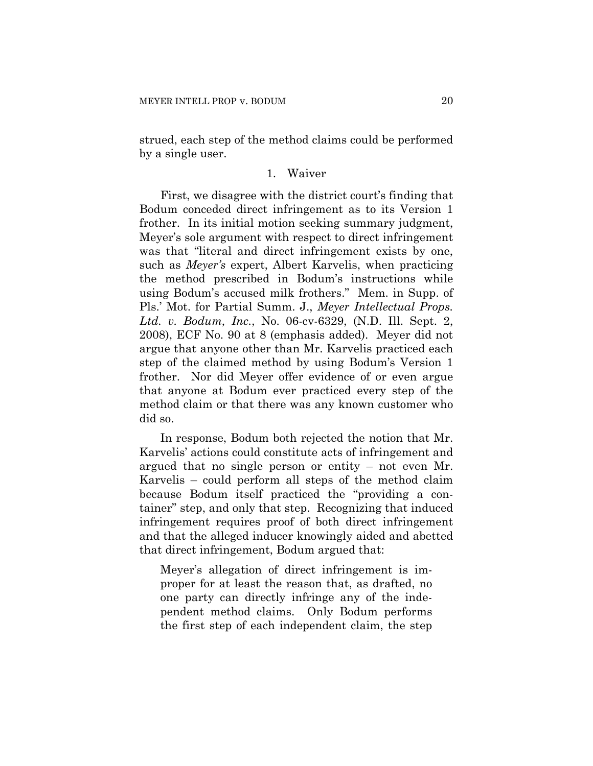strued, each step of the method claims could be performed by a single user.

#### 1. Waiver

First, we disagree with the district court's finding that Bodum conceded direct infringement as to its Version 1 frother. In its initial motion seeking summary judgment, Meyer's sole argument with respect to direct infringement was that "literal and direct infringement exists by one, such as *Meyer's* expert, Albert Karvelis, when practicing the method prescribed in Bodum's instructions while using Bodum's accused milk frothers." Mem. in Supp. of Pls.' Mot. for Partial Summ. J., *Meyer Intellectual Props. Ltd. v. Bodum, Inc.*, No. 06-cv-6329, (N.D. Ill. Sept. 2, 2008), ECF No. 90 at 8 (emphasis added). Meyer did not argue that anyone other than Mr. Karvelis practiced each step of the claimed method by using Bodum's Version 1 frother. Nor did Meyer offer evidence of or even argue that anyone at Bodum ever practiced every step of the method claim or that there was any known customer who did so.

In response, Bodum both rejected the notion that Mr. Karvelis' actions could constitute acts of infringement and argued that no single person or entity – not even Mr. Karvelis – could perform all steps of the method claim because Bodum itself practiced the "providing a container" step, and only that step. Recognizing that induced infringement requires proof of both direct infringement and that the alleged inducer knowingly aided and abetted that direct infringement, Bodum argued that:

Meyer's allegation of direct infringement is improper for at least the reason that, as drafted, no one party can directly infringe any of the independent method claims. Only Bodum performs the first step of each independent claim, the step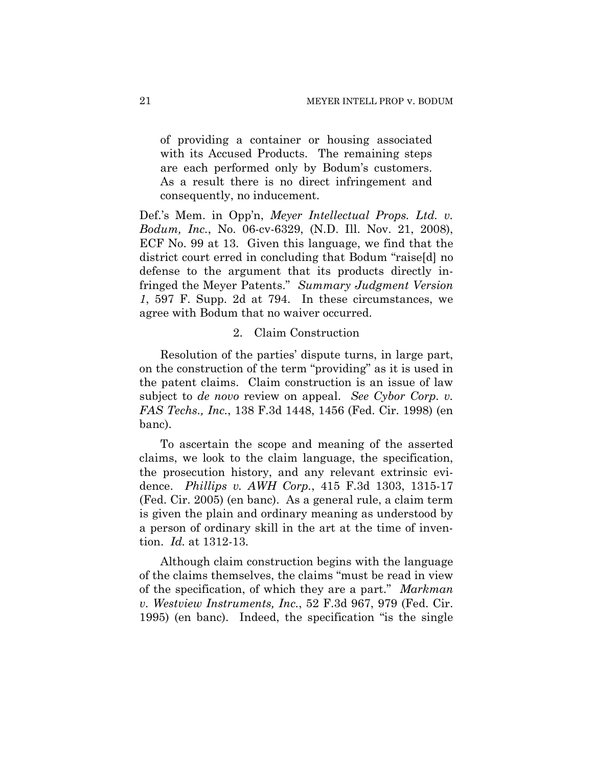of providing a container or housing associated with its Accused Products. The remaining steps are each performed only by Bodum's customers. As a result there is no direct infringement and consequently, no inducement.

Def.'s Mem. in Opp'n, *Meyer Intellectual Props. Ltd. v. Bodum, Inc.*, No. 06-cv-6329, (N.D. Ill. Nov. 21, 2008), ECF No. 99 at 13. Given this language, we find that the district court erred in concluding that Bodum "raise[d] no defense to the argument that its products directly infringed the Meyer Patents." *Summary Judgment Version 1*, 597 F. Supp. 2d at 794. In these circumstances, we agree with Bodum that no waiver occurred.

#### 2. Claim Construction

Resolution of the parties' dispute turns, in large part, on the construction of the term "providing" as it is used in the patent claims. Claim construction is an issue of law subject to *de novo* review on appeal. *See Cybor Corp. v. FAS Techs., Inc.*, 138 F.3d 1448, 1456 (Fed. Cir. 1998) (en banc).

To ascertain the scope and meaning of the asserted claims, we look to the claim language, the specification, the prosecution history, and any relevant extrinsic evidence. *Phillips v. AWH Corp.*, 415 F.3d 1303, 1315-17 (Fed. Cir. 2005) (en banc). As a general rule, a claim term is given the plain and ordinary meaning as understood by a person of ordinary skill in the art at the time of invention. *Id.* at 1312-13.

Although claim construction begins with the language of the claims themselves, the claims "must be read in view of the specification, of which they are a part." *Markman v. Westview Instruments, Inc.*, 52 F.3d 967, 979 (Fed. Cir. 1995) (en banc). Indeed, the specification "is the single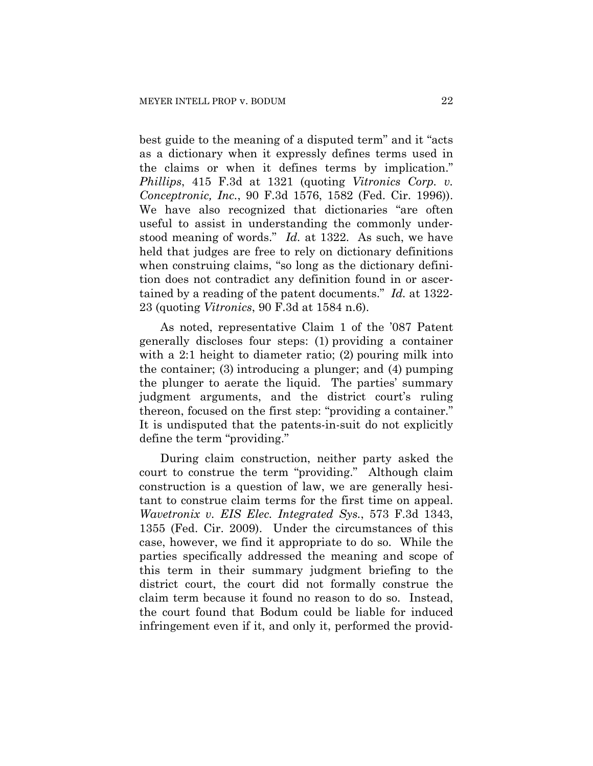best guide to the meaning of a disputed term" and it "acts as a dictionary when it expressly defines terms used in the claims or when it defines terms by implication." *Phillips*, 415 F.3d at 1321 (quoting *Vitronics Corp. v. Conceptronic, Inc.*, 90 F.3d 1576, 1582 (Fed. Cir. 1996)). We have also recognized that dictionaries "are often useful to assist in understanding the commonly understood meaning of words." *Id.* at 1322. As such, we have held that judges are free to rely on dictionary definitions when construing claims, "so long as the dictionary definition does not contradict any definition found in or ascertained by a reading of the patent documents." *Id.* at 1322- 23 (quoting *Vitronics*, 90 F.3d at 1584 n.6).

As noted, representative Claim 1 of the '087 Patent generally discloses four steps: (1) providing a container with a 2:1 height to diameter ratio; (2) pouring milk into the container; (3) introducing a plunger; and (4) pumping the plunger to aerate the liquid. The parties' summary judgment arguments, and the district court's ruling thereon, focused on the first step: "providing a container." It is undisputed that the patents-in-suit do not explicitly define the term "providing."

During claim construction, neither party asked the court to construe the term "providing." Although claim construction is a question of law, we are generally hesitant to construe claim terms for the first time on appeal. *Wavetronix v. EIS Elec. Integrated Sys.*, 573 F.3d 1343, 1355 (Fed. Cir. 2009). Under the circumstances of this case, however, we find it appropriate to do so. While the parties specifically addressed the meaning and scope of this term in their summary judgment briefing to the district court, the court did not formally construe the claim term because it found no reason to do so. Instead, the court found that Bodum could be liable for induced infringement even if it, and only it, performed the provid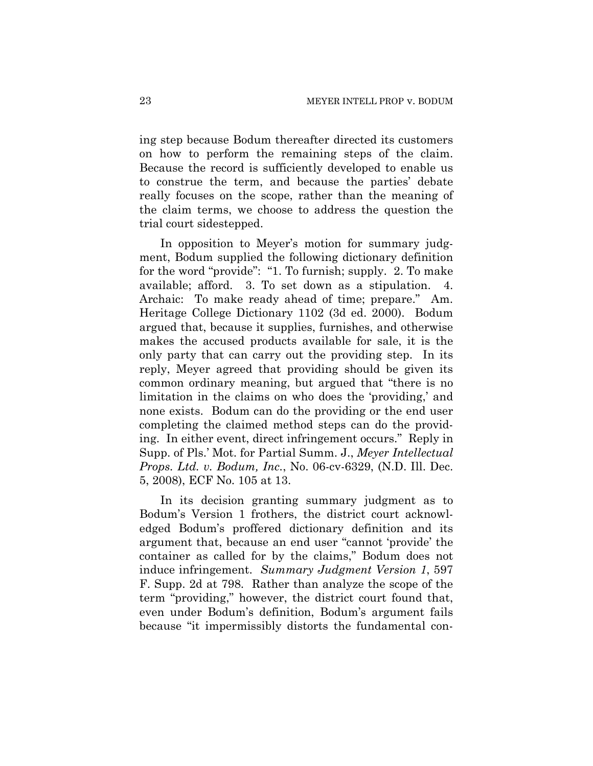ing step because Bodum thereafter directed its customers on how to perform the remaining steps of the claim. Because the record is sufficiently developed to enable us to construe the term, and because the parties' debate really focuses on the scope, rather than the meaning of the claim terms, we choose to address the question the trial court sidestepped.

In opposition to Meyer's motion for summary judgment, Bodum supplied the following dictionary definition for the word "provide": "1. To furnish; supply. 2. To make available; afford. 3. To set down as a stipulation. 4. Archaic: To make ready ahead of time; prepare." Am. Heritage College Dictionary 1102 (3d ed. 2000). Bodum argued that, because it supplies, furnishes, and otherwise makes the accused products available for sale, it is the only party that can carry out the providing step. In its reply, Meyer agreed that providing should be given its common ordinary meaning, but argued that "there is no limitation in the claims on who does the 'providing,' and none exists. Bodum can do the providing or the end user completing the claimed method steps can do the providing. In either event, direct infringement occurs." Reply in Supp. of Pls.' Mot. for Partial Summ. J., *Meyer Intellectual Props. Ltd. v. Bodum, Inc.*, No. 06-cv-6329, (N.D. Ill. Dec. 5, 2008), ECF No. 105 at 13.

In its decision granting summary judgment as to Bodum's Version 1 frothers, the district court acknowledged Bodum's proffered dictionary definition and its argument that, because an end user "cannot 'provide' the container as called for by the claims," Bodum does not induce infringement. *Summary Judgment Version 1*, 597 F. Supp. 2d at 798. Rather than analyze the scope of the term "providing," however, the district court found that, even under Bodum's definition, Bodum's argument fails because "it impermissibly distorts the fundamental con-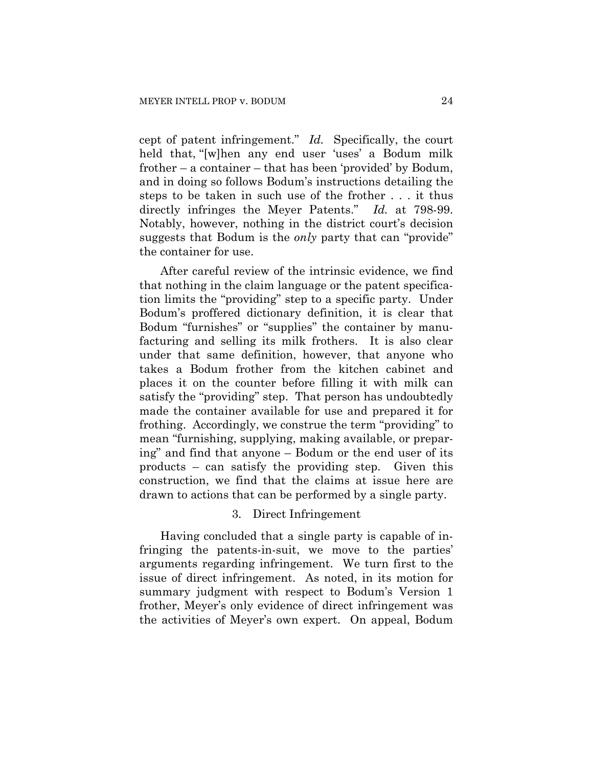cept of patent infringement." *Id.* Specifically, the court held that, "[w]hen any end user 'uses' a Bodum milk frother – a container – that has been 'provided' by Bodum, and in doing so follows Bodum's instructions detailing the steps to be taken in such use of the frother . . . it thus directly infringes the Meyer Patents." *Id.* at 798-99. Notably, however, nothing in the district court's decision suggests that Bodum is the *only* party that can "provide" the container for use.

After careful review of the intrinsic evidence, we find that nothing in the claim language or the patent specification limits the "providing" step to a specific party. Under Bodum's proffered dictionary definition, it is clear that Bodum "furnishes" or "supplies" the container by manufacturing and selling its milk frothers. It is also clear under that same definition, however, that anyone who takes a Bodum frother from the kitchen cabinet and places it on the counter before filling it with milk can satisfy the "providing" step. That person has undoubtedly made the container available for use and prepared it for frothing. Accordingly, we construe the term "providing" to mean "furnishing, supplying, making available, or preparing" and find that anyone – Bodum or the end user of its products – can satisfy the providing step. Given this construction, we find that the claims at issue here are drawn to actions that can be performed by a single party.

## 3. Direct Infringement

Having concluded that a single party is capable of infringing the patents-in-suit, we move to the parties' arguments regarding infringement. We turn first to the issue of direct infringement. As noted, in its motion for summary judgment with respect to Bodum's Version 1 frother, Meyer's only evidence of direct infringement was the activities of Meyer's own expert. On appeal, Bodum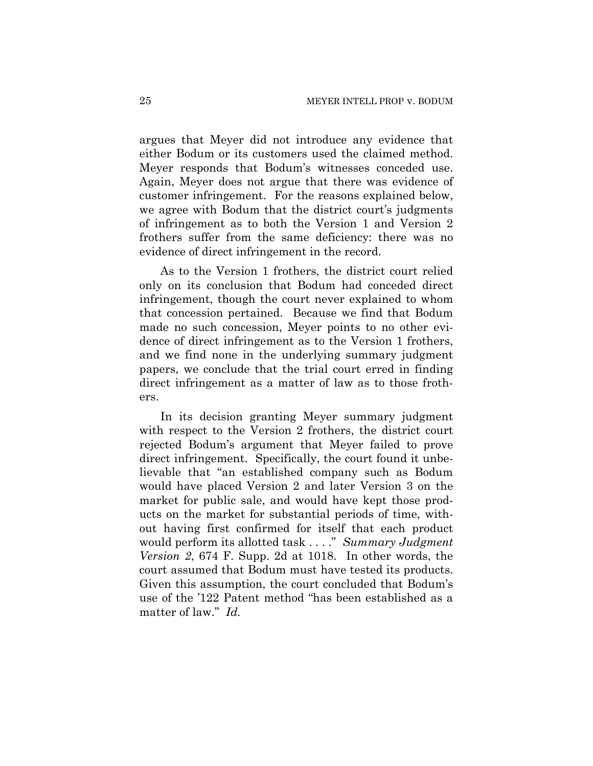argues that Meyer did not introduce any evidence that either Bodum or its customers used the claimed method. Meyer responds that Bodum's witnesses conceded use. Again, Meyer does not argue that there was evidence of customer infringement. For the reasons explained below, we agree with Bodum that the district court's judgments of infringement as to both the Version 1 and Version 2 frothers suffer from the same deficiency: there was no evidence of direct infringement in the record.

As to the Version 1 frothers, the district court relied only on its conclusion that Bodum had conceded direct infringement, though the court never explained to whom that concession pertained. Because we find that Bodum made no such concession, Meyer points to no other evidence of direct infringement as to the Version 1 frothers, and we find none in the underlying summary judgment papers, we conclude that the trial court erred in finding direct infringement as a matter of law as to those frothers.

In its decision granting Meyer summary judgment with respect to the Version 2 frothers, the district court rejected Bodum's argument that Meyer failed to prove direct infringement. Specifically, the court found it unbelievable that "an established company such as Bodum would have placed Version 2 and later Version 3 on the market for public sale, and would have kept those products on the market for substantial periods of time, without having first confirmed for itself that each product would perform its allotted task . . . ." *Summary Judgment Version 2*, 674 F. Supp. 2d at 1018. In other words, the court assumed that Bodum must have tested its products. Given this assumption, the court concluded that Bodum's use of the '122 Patent method "has been established as a matter of law." *Id.*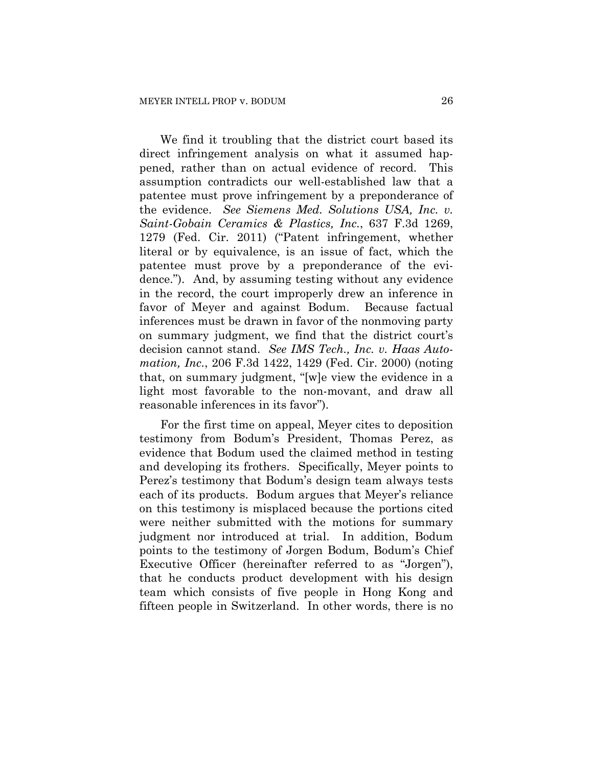We find it troubling that the district court based its direct infringement analysis on what it assumed happened, rather than on actual evidence of record. This assumption contradicts our well-established law that a patentee must prove infringement by a preponderance of the evidence. *See Siemens Med. Solutions USA, Inc. v. Saint-Gobain Ceramics & Plastics, Inc.*, 637 F.3d 1269, 1279 (Fed. Cir. 2011) ("Patent infringement, whether literal or by equivalence, is an issue of fact, which the patentee must prove by a preponderance of the evidence."). And, by assuming testing without any evidence in the record, the court improperly drew an inference in favor of Meyer and against Bodum. Because factual inferences must be drawn in favor of the nonmoving party on summary judgment, we find that the district court's decision cannot stand. *See IMS Tech., Inc. v. Haas Automation, Inc.*, 206 F.3d 1422, 1429 (Fed. Cir. 2000) (noting that, on summary judgment, "[w]e view the evidence in a light most favorable to the non-movant, and draw all reasonable inferences in its favor").

For the first time on appeal, Meyer cites to deposition testimony from Bodum's President, Thomas Perez, as evidence that Bodum used the claimed method in testing and developing its frothers. Specifically, Meyer points to Perez's testimony that Bodum's design team always tests each of its products. Bodum argues that Meyer's reliance on this testimony is misplaced because the portions cited were neither submitted with the motions for summary judgment nor introduced at trial. In addition, Bodum points to the testimony of Jorgen Bodum, Bodum's Chief Executive Officer (hereinafter referred to as "Jorgen"), that he conducts product development with his design team which consists of five people in Hong Kong and fifteen people in Switzerland. In other words, there is no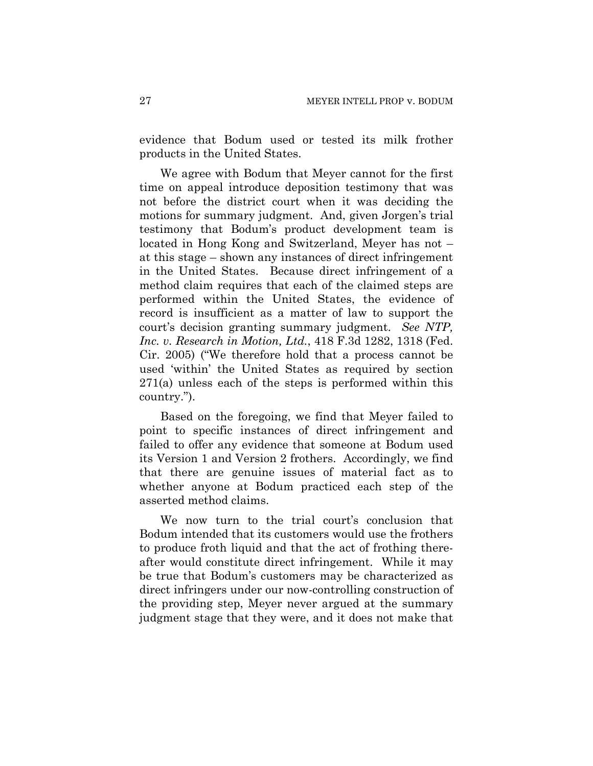evidence that Bodum used or tested its milk frother products in the United States.

We agree with Bodum that Meyer cannot for the first time on appeal introduce deposition testimony that was not before the district court when it was deciding the motions for summary judgment. And, given Jorgen's trial testimony that Bodum's product development team is located in Hong Kong and Switzerland, Meyer has not – at this stage – shown any instances of direct infringement in the United States. Because direct infringement of a method claim requires that each of the claimed steps are performed within the United States, the evidence of record is insufficient as a matter of law to support the court's decision granting summary judgment. *See NTP, Inc. v. Research in Motion, Ltd.*, 418 F.3d 1282, 1318 (Fed. Cir. 2005) ("We therefore hold that a process cannot be used 'within' the United States as required by section 271(a) unless each of the steps is performed within this country.").

Based on the foregoing, we find that Meyer failed to point to specific instances of direct infringement and failed to offer any evidence that someone at Bodum used its Version 1 and Version 2 frothers. Accordingly, we find that there are genuine issues of material fact as to whether anyone at Bodum practiced each step of the asserted method claims.

We now turn to the trial court's conclusion that Bodum intended that its customers would use the frothers to produce froth liquid and that the act of frothing thereafter would constitute direct infringement. While it may be true that Bodum's customers may be characterized as direct infringers under our now-controlling construction of the providing step, Meyer never argued at the summary judgment stage that they were, and it does not make that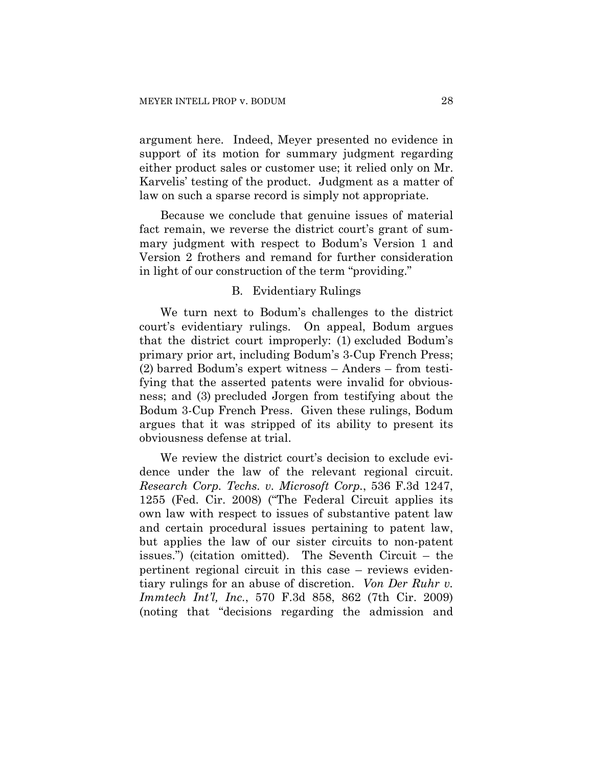argument here. Indeed, Meyer presented no evidence in support of its motion for summary judgment regarding either product sales or customer use; it relied only on Mr. Karvelis' testing of the product. Judgment as a matter of law on such a sparse record is simply not appropriate.

Because we conclude that genuine issues of material fact remain, we reverse the district court's grant of summary judgment with respect to Bodum's Version 1 and Version 2 frothers and remand for further consideration in light of our construction of the term "providing."

#### B. Evidentiary Rulings

We turn next to Bodum's challenges to the district court's evidentiary rulings. On appeal, Bodum argues that the district court improperly: (1) excluded Bodum's primary prior art, including Bodum's 3-Cup French Press; (2) barred Bodum's expert witness – Anders – from testifying that the asserted patents were invalid for obviousness; and (3) precluded Jorgen from testifying about the Bodum 3-Cup French Press. Given these rulings, Bodum argues that it was stripped of its ability to present its obviousness defense at trial.

We review the district court's decision to exclude evidence under the law of the relevant regional circuit. *Research Corp. Techs. v. Microsoft Corp.*, 536 F.3d 1247, 1255 (Fed. Cir. 2008) ("The Federal Circuit applies its own law with respect to issues of substantive patent law and certain procedural issues pertaining to patent law, but applies the law of our sister circuits to non-patent issues.") (citation omitted). The Seventh Circuit – the pertinent regional circuit in this case – reviews evidentiary rulings for an abuse of discretion. *Von Der Ruhr v. Immtech Int'l, Inc.*, 570 F.3d 858, 862 (7th Cir. 2009) (noting that "decisions regarding the admission and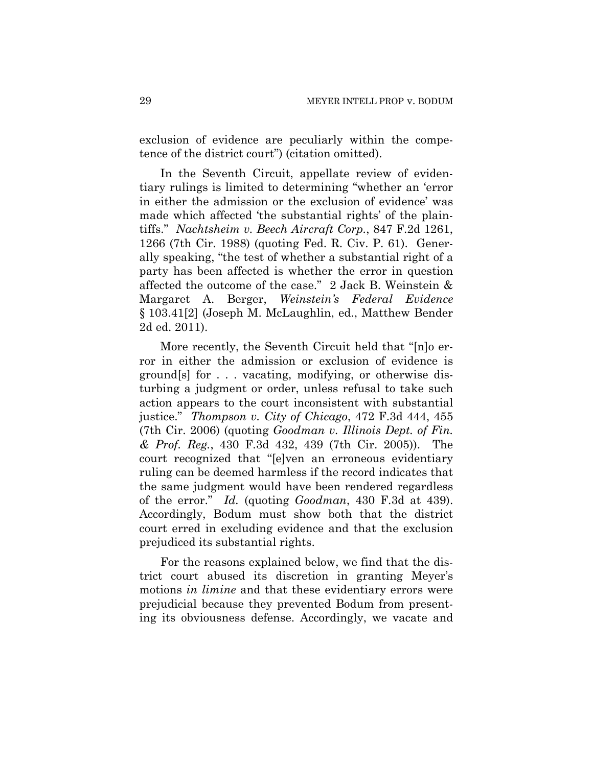exclusion of evidence are peculiarly within the competence of the district court") (citation omitted).

In the Seventh Circuit, appellate review of evidentiary rulings is limited to determining "whether an 'error in either the admission or the exclusion of evidence' was made which affected 'the substantial rights' of the plaintiffs." *Nachtsheim v. Beech Aircraft Corp.*, 847 F.2d 1261, 1266 (7th Cir. 1988) (quoting Fed. R. Civ. P. 61). Generally speaking, "the test of whether a substantial right of a party has been affected is whether the error in question affected the outcome of the case." 2 Jack B. Weinstein & Margaret A. Berger, *Weinstein's Federal Evidence* § 103.41[2] (Joseph M. McLaughlin, ed., Matthew Bender 2d ed. 2011).

More recently, the Seventh Circuit held that "[n]o error in either the admission or exclusion of evidence is ground[s] for . . . vacating, modifying, or otherwise disturbing a judgment or order, unless refusal to take such action appears to the court inconsistent with substantial justice." *Thompson v. City of Chicago*, 472 F.3d 444, 455 (7th Cir. 2006) (quoting *Goodman v. Illinois Dept. of Fin. & Prof. Reg.*, 430 F.3d 432, 439 (7th Cir. 2005)). The court recognized that "[e]ven an erroneous evidentiary ruling can be deemed harmless if the record indicates that the same judgment would have been rendered regardless of the error." *Id.* (quoting *Goodman*, 430 F.3d at 439). Accordingly, Bodum must show both that the district court erred in excluding evidence and that the exclusion prejudiced its substantial rights.

For the reasons explained below, we find that the district court abused its discretion in granting Meyer's motions *in limine* and that these evidentiary errors were prejudicial because they prevented Bodum from presenting its obviousness defense. Accordingly, we vacate and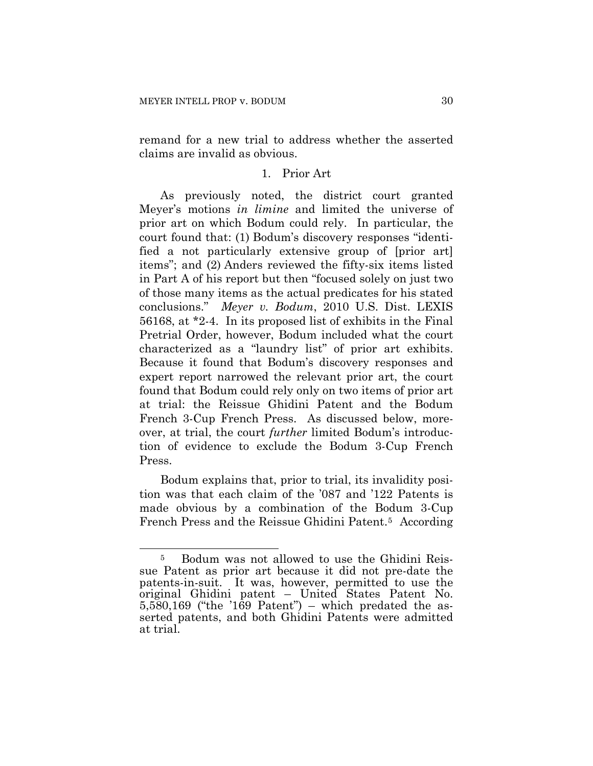remand for a new trial to address whether the asserted claims are invalid as obvious.

## 1. Prior Art

As previously noted, the district court granted Meyer's motions *in limine* and limited the universe of prior art on which Bodum could rely. In particular, the court found that: (1) Bodum's discovery responses "identified a not particularly extensive group of [prior art] items"; and (2) Anders reviewed the fifty-six items listed in Part A of his report but then "focused solely on just two of those many items as the actual predicates for his stated conclusions." *Meyer v. Bodum*, 2010 U.S. Dist. LEXIS 56168, at \*2-4. In its proposed list of exhibits in the Final Pretrial Order, however, Bodum included what the court characterized as a "laundry list" of prior art exhibits. Because it found that Bodum's discovery responses and expert report narrowed the relevant prior art, the court found that Bodum could rely only on two items of prior art at trial: the Reissue Ghidini Patent and the Bodum French 3-Cup French Press. As discussed below, moreover, at trial, the court *further* limited Bodum's introduction of evidence to exclude the Bodum 3-Cup French Press.

Bodum explains that, prior to trial, its invalidity position was that each claim of the '087 and '122 Patents is made obvious by a combination of the Bodum 3-Cup French Press and the Reissue Ghidini Patent.<sup>[5](#page-29-0)</sup> According

<span id="page-29-0"></span> $\overline{a}$ 5 Bodum was not allowed to use the Ghidini Reissue Patent as prior art because it did not pre-date the patents-in-suit. It was, however, permitted to use the original Ghidini patent – United States Patent No.  $5,580,169$  ("the '169 Patent") – which predated the asserted patents, and both Ghidini Patents were admitted at trial.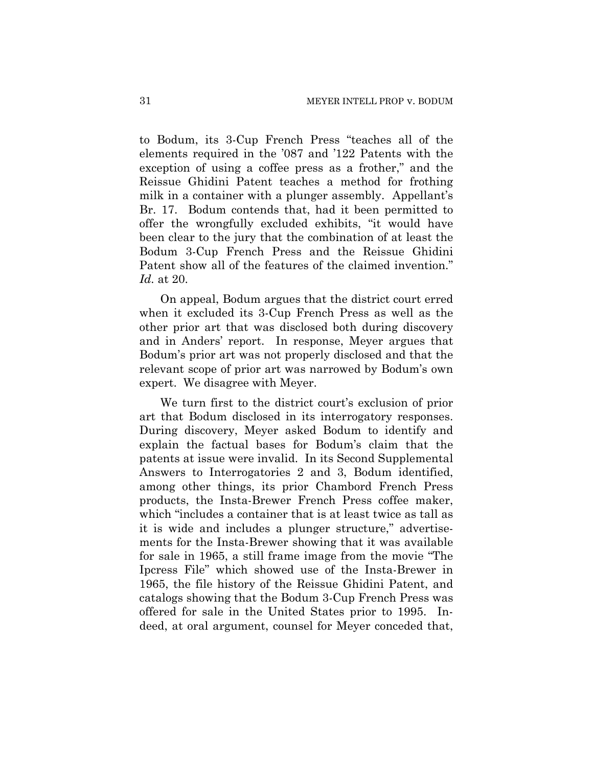to Bodum, its 3-Cup French Press "teaches all of the elements required in the '087 and '122 Patents with the exception of using a coffee press as a frother," and the Reissue Ghidini Patent teaches a method for frothing milk in a container with a plunger assembly. Appellant's Br. 17. Bodum contends that, had it been permitted to offer the wrongfully excluded exhibits, "it would have been clear to the jury that the combination of at least the Bodum 3-Cup French Press and the Reissue Ghidini Patent show all of the features of the claimed invention." *Id.* at 20.

On appeal, Bodum argues that the district court erred when it excluded its 3-Cup French Press as well as the other prior art that was disclosed both during discovery and in Anders' report. In response, Meyer argues that Bodum's prior art was not properly disclosed and that the relevant scope of prior art was narrowed by Bodum's own expert. We disagree with Meyer.

We turn first to the district court's exclusion of prior art that Bodum disclosed in its interrogatory responses. During discovery, Meyer asked Bodum to identify and explain the factual bases for Bodum's claim that the patents at issue were invalid. In its Second Supplemental Answers to Interrogatories 2 and 3, Bodum identified, among other things, its prior Chambord French Press products, the Insta-Brewer French Press coffee maker, which "includes a container that is at least twice as tall as it is wide and includes a plunger structure," advertisements for the Insta-Brewer showing that it was available for sale in 1965, a still frame image from the movie "The Ipcress File" which showed use of the Insta-Brewer in 1965, the file history of the Reissue Ghidini Patent, and catalogs showing that the Bodum 3-Cup French Press was offered for sale in the United States prior to 1995. Indeed, at oral argument, counsel for Meyer conceded that,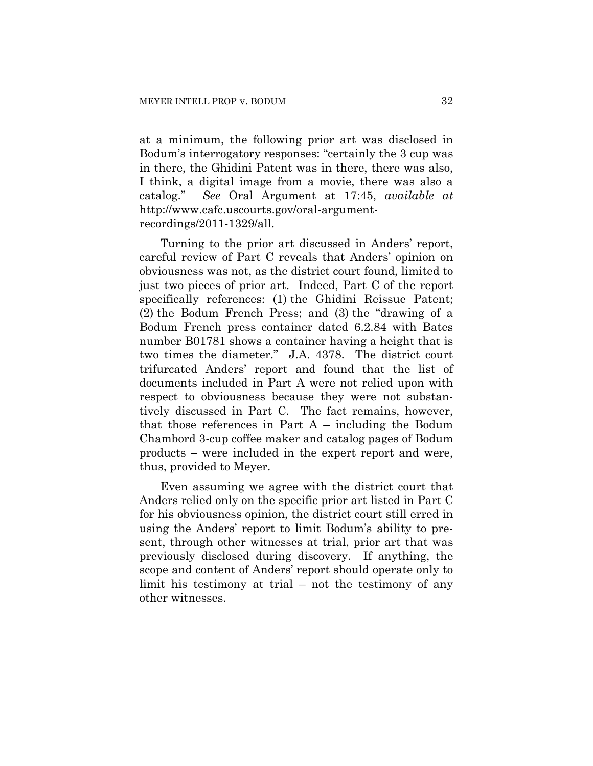at a minimum, the following prior art was disclosed in Bodum's interrogatory responses: "certainly the 3 cup was in there, the Ghidini Patent was in there, there was also, I think, a digital image from a movie, there was also a catalog." *See* Oral Argument at 17:45, *available at* http://www.cafc.uscourts.gov/oral-argumentrecordings/2011-1329/all.

Turning to the prior art discussed in Anders' report, careful review of Part C reveals that Anders' opinion on obviousness was not, as the district court found, limited to just two pieces of prior art. Indeed, Part C of the report specifically references: (1) the Ghidini Reissue Patent; (2) the Bodum French Press; and (3) the "drawing of a Bodum French press container dated 6.2.84 with Bates number B01781 shows a container having a height that is two times the diameter." J.A. 4378. The district court trifurcated Anders' report and found that the list of documents included in Part A were not relied upon with respect to obviousness because they were not substantively discussed in Part C. The fact remains, however, that those references in Part  $A$  – including the Bodum Chambord 3-cup coffee maker and catalog pages of Bodum products – were included in the expert report and were, thus, provided to Meyer.

Even assuming we agree with the district court that Anders relied only on the specific prior art listed in Part C for his obviousness opinion, the district court still erred in using the Anders' report to limit Bodum's ability to present, through other witnesses at trial, prior art that was previously disclosed during discovery. If anything, the scope and content of Anders' report should operate only to limit his testimony at trial – not the testimony of any other witnesses.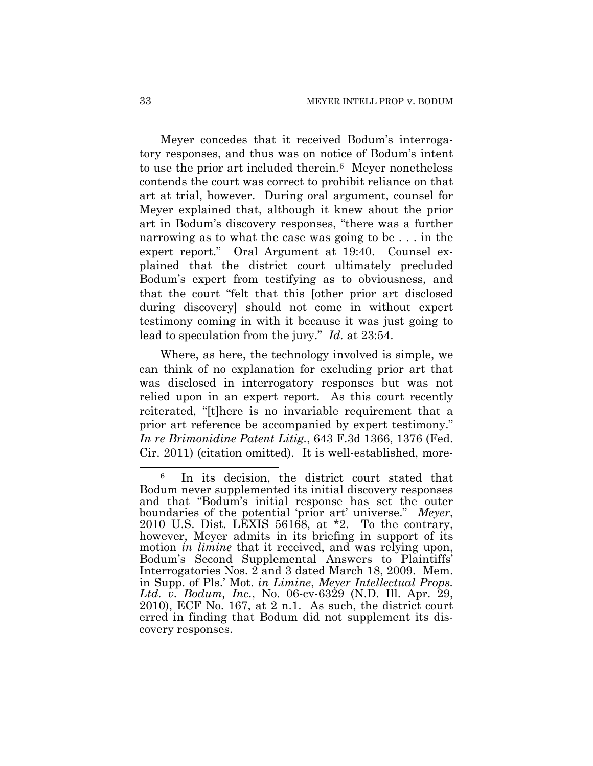Meyer concedes that it received Bodum's interrogatory responses, and thus was on notice of Bodum's intent to use the prior art included therein.<sup>[6](#page-32-0)</sup> Meyer nonetheless contends the court was correct to prohibit reliance on that art at trial, however. During oral argument, counsel for Meyer explained that, although it knew about the prior art in Bodum's discovery responses, "there was a further narrowing as to what the case was going to be . . . in the expert report." Oral Argument at 19:40. Counsel explained that the district court ultimately precluded Bodum's expert from testifying as to obviousness, and that the court "felt that this [other prior art disclosed during discovery] should not come in without expert testimony coming in with it because it was just going to lead to speculation from the jury." *Id.* at 23:54.

Where, as here, the technology involved is simple, we can think of no explanation for excluding prior art that was disclosed in interrogatory responses but was not relied upon in an expert report. As this court recently reiterated, "[t]here is no invariable requirement that a prior art reference be accompanied by expert testimony." *In re Brimonidine Patent Litig.*, 643 F.3d 1366, 1376 (Fed. Cir. 2011) (citation omitted). It is well-established, more-

 $\overline{a}$ 

<span id="page-32-0"></span><sup>6</sup> In its decision, the district court stated that Bodum never supplemented its initial discovery responses and that "Bodum's initial response has set the outer boundaries of the potential 'prior art' universe." *Meyer*, 2010 U.S. Dist. LEXIS 56168, at \*2. To the contrary, however, Meyer admits in its briefing in support of its motion *in limine* that it received, and was relying upon, Bodum's Second Supplemental Answers to Plaintiffs' Interrogatories Nos. 2 and 3 dated March 18, 2009. Mem. in Supp. of Pls.' Mot. *in Limine*, *Meyer Intellectual Props. Ltd. v. Bodum, Inc.*, No. 06-cv-6329 (N.D. Ill. Apr. 29, 2010), ECF No. 167, at 2 n.1. As such, the district court erred in finding that Bodum did not supplement its discovery responses.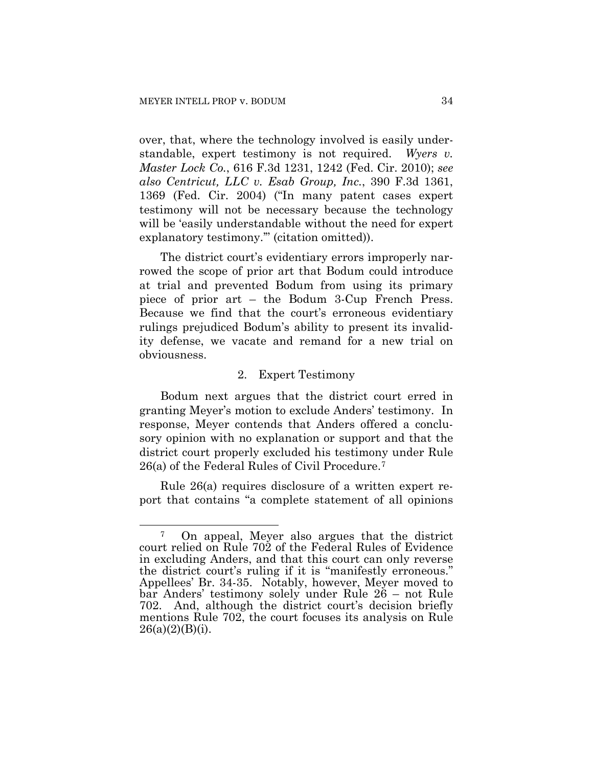over, that, where the technology involved is easily understandable, expert testimony is not required. *Wyers v. Master Lock Co.*, 616 F.3d 1231, 1242 (Fed. Cir. 2010); *see also Centricut, LLC v. Esab Group, Inc.*, 390 F.3d 1361, 1369 (Fed. Cir. 2004) ("In many patent cases expert testimony will not be necessary because the technology will be 'easily understandable without the need for expert explanatory testimony.'" (citation omitted)).

The district court's evidentiary errors improperly narrowed the scope of prior art that Bodum could introduce at trial and prevented Bodum from using its primary piece of prior art – the Bodum 3-Cup French Press. Because we find that the court's erroneous evidentiary rulings prejudiced Bodum's ability to present its invalidity defense, we vacate and remand for a new trial on obviousness.

#### 2. Expert Testimony

Bodum next argues that the district court erred in granting Meyer's motion to exclude Anders' testimony. In response, Meyer contends that Anders offered a conclusory opinion with no explanation or support and that the district court properly excluded his testimony under Rule 26(a) of the Federal Rules of Civil Procedure.[7](#page-33-0)

Rule 26(a) requires disclosure of a written expert report that contains "a complete statement of all opinions

<span id="page-33-0"></span><sup>1</sup> 7 On appeal, Meyer also argues that the district court relied on Rule 702 of the Federal Rules of Evidence in excluding Anders, and that this court can only reverse the district court's ruling if it is "manifestly erroneous." Appellees' Br. 34-35. Notably, however, Meyer moved to bar Anders' testimony solely under Rule 26 – not Rule 702. And, although the district court's decision briefly mentions Rule 702, the court focuses its analysis on Rule  $26(a)(2)(B)(i)$ .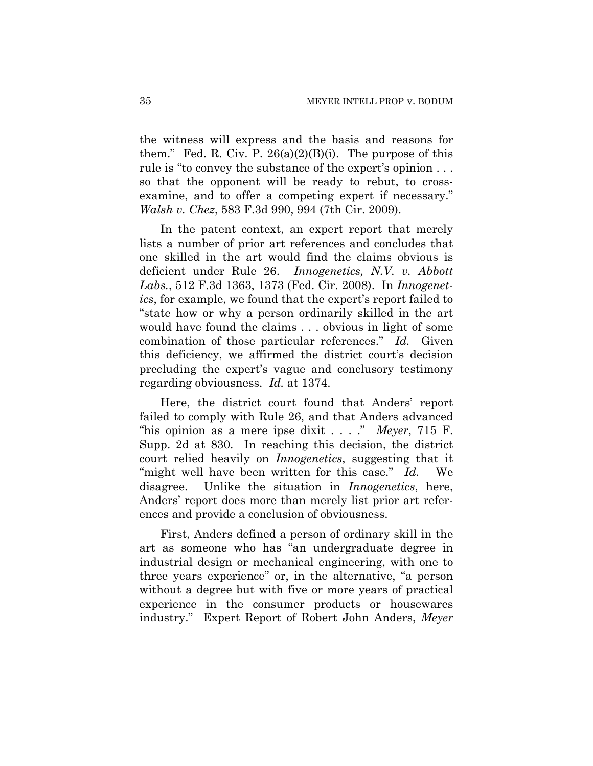the witness will express and the basis and reasons for them." Fed. R. Civ. P.  $26(a)(2)(B)(i)$ . The purpose of this rule is "to convey the substance of the expert's opinion . . . so that the opponent will be ready to rebut, to crossexamine, and to offer a competing expert if necessary." *Walsh v. Chez*, 583 F.3d 990, 994 (7th Cir. 2009).

In the patent context, an expert report that merely lists a number of prior art references and concludes that one skilled in the art would find the claims obvious is deficient under Rule 26. *Innogenetics, N.V. v. Abbott Labs.*, 512 F.3d 1363, 1373 (Fed. Cir. 2008). In *Innogenetics*, for example, we found that the expert's report failed to "state how or why a person ordinarily skilled in the art would have found the claims . . . obvious in light of some combination of those particular references." *Id.* Given this deficiency, we affirmed the district court's decision precluding the expert's vague and conclusory testimony regarding obviousness. *Id.* at 1374.

Here, the district court found that Anders' report failed to comply with Rule 26, and that Anders advanced "his opinion as a mere ipse dixit . . . ." *Meyer*, 715 F. Supp. 2d at 830. In reaching this decision, the district court relied heavily on *Innogenetics*, suggesting that it "might well have been written for this case." *Id.* We disagree. Unlike the situation in *Innogenetics*, here, Anders' report does more than merely list prior art references and provide a conclusion of obviousness.

First, Anders defined a person of ordinary skill in the art as someone who has "an undergraduate degree in industrial design or mechanical engineering, with one to three years experience" or, in the alternative, "a person without a degree but with five or more years of practical experience in the consumer products or housewares industry." Expert Report of Robert John Anders, *Meyer*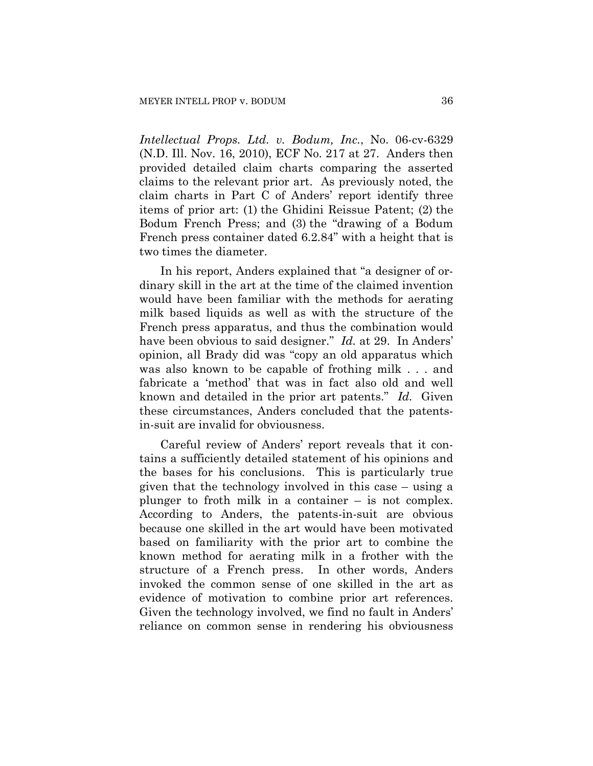*Intellectual Props. Ltd. v. Bodum, Inc.*, No. 06-cv-6329 (N.D. Ill. Nov. 16, 2010), ECF No. 217 at 27. Anders then provided detailed claim charts comparing the asserted claims to the relevant prior art. As previously noted, the claim charts in Part C of Anders' report identify three items of prior art: (1) the Ghidini Reissue Patent; (2) the Bodum French Press; and (3) the "drawing of a Bodum French press container dated 6.2.84" with a height that is two times the diameter.

In his report, Anders explained that "a designer of ordinary skill in the art at the time of the claimed invention would have been familiar with the methods for aerating milk based liquids as well as with the structure of the French press apparatus, and thus the combination would have been obvious to said designer." *Id.* at 29. In Anders' opinion, all Brady did was "copy an old apparatus which was also known to be capable of frothing milk . . . and fabricate a 'method' that was in fact also old and well known and detailed in the prior art patents." *Id.* Given these circumstances, Anders concluded that the patentsin-suit are invalid for obviousness.

Careful review of Anders' report reveals that it contains a sufficiently detailed statement of his opinions and the bases for his conclusions. This is particularly true given that the technology involved in this case – using a plunger to froth milk in a container – is not complex. According to Anders, the patents-in-suit are obvious because one skilled in the art would have been motivated based on familiarity with the prior art to combine the known method for aerating milk in a frother with the structure of a French press. In other words, Anders invoked the common sense of one skilled in the art as evidence of motivation to combine prior art references. Given the technology involved, we find no fault in Anders' reliance on common sense in rendering his obviousness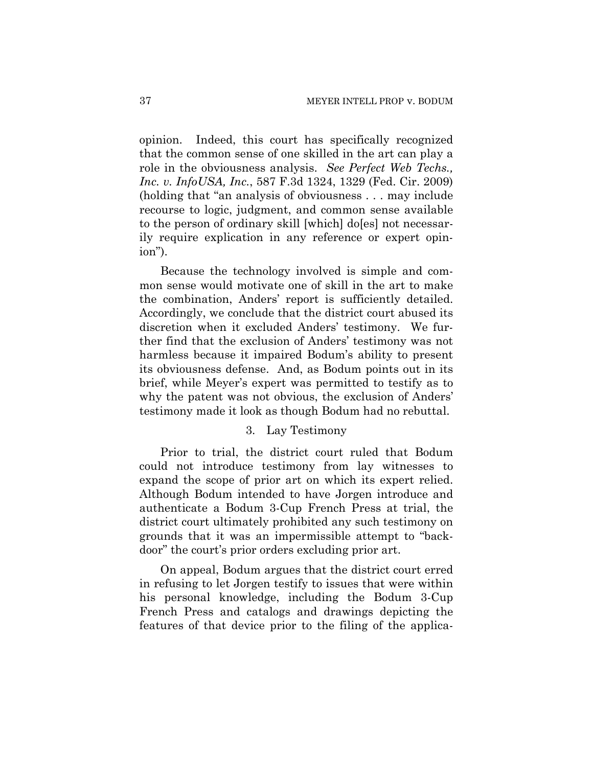opinion. Indeed, this court has specifically recognized that the common sense of one skilled in the art can play a role in the obviousness analysis. *See Perfect Web Techs., Inc. v. InfoUSA, Inc.*, 587 F.3d 1324, 1329 (Fed. Cir. 2009) (holding that "an analysis of obviousness . . . may include recourse to logic, judgment, and common sense available to the person of ordinary skill [which] do[es] not necessarily require explication in any reference or expert opinion").

Because the technology involved is simple and common sense would motivate one of skill in the art to make the combination, Anders' report is sufficiently detailed. Accordingly, we conclude that the district court abused its discretion when it excluded Anders' testimony. We further find that the exclusion of Anders' testimony was not harmless because it impaired Bodum's ability to present its obviousness defense. And, as Bodum points out in its brief, while Meyer's expert was permitted to testify as to why the patent was not obvious, the exclusion of Anders' testimony made it look as though Bodum had no rebuttal.

## 3. Lay Testimony

Prior to trial, the district court ruled that Bodum could not introduce testimony from lay witnesses to expand the scope of prior art on which its expert relied. Although Bodum intended to have Jorgen introduce and authenticate a Bodum 3-Cup French Press at trial, the district court ultimately prohibited any such testimony on grounds that it was an impermissible attempt to "backdoor" the court's prior orders excluding prior art.

On appeal, Bodum argues that the district court erred in refusing to let Jorgen testify to issues that were within his personal knowledge, including the Bodum 3-Cup French Press and catalogs and drawings depicting the features of that device prior to the filing of the applica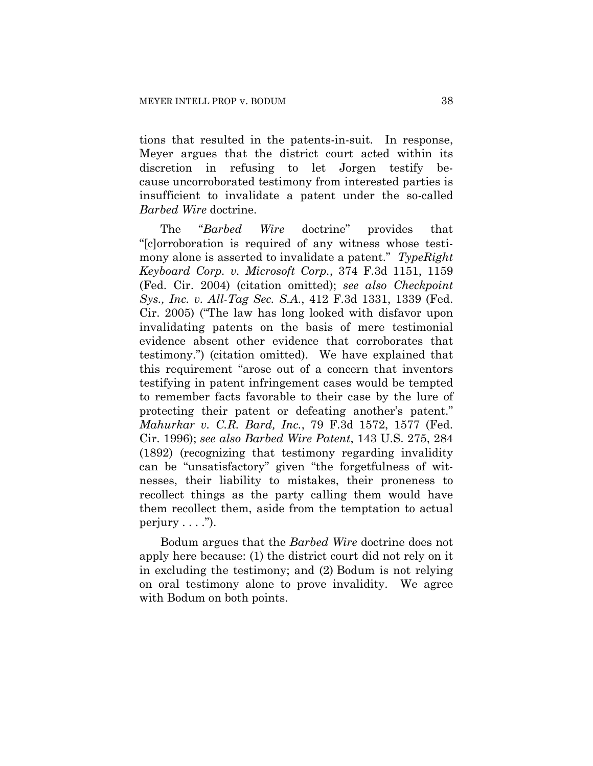tions that resulted in the patents-in-suit. In response, Meyer argues that the district court acted within its discretion in refusing to let Jorgen testify because uncorroborated testimony from interested parties is insufficient to invalidate a patent under the so-called *Barbed Wire* doctrine.

The "*Barbed Wire* doctrine" provides that "[c]orroboration is required of any witness whose testimony alone is asserted to invalidate a patent." *TypeRight Keyboard Corp. v. Microsoft Corp.*, 374 F.3d 1151, 1159 (Fed. Cir. 2004) (citation omitted); *see also Checkpoint Sys., Inc. v. All-Tag Sec. S.A.*, 412 F.3d 1331, 1339 (Fed. Cir. 2005) ("The law has long looked with disfavor upon invalidating patents on the basis of mere testimonial evidence absent other evidence that corroborates that testimony.") (citation omitted). We have explained that this requirement "arose out of a concern that inventors testifying in patent infringement cases would be tempted to remember facts favorable to their case by the lure of protecting their patent or defeating another's patent." *Mahurkar v. C.R. Bard, Inc.*, 79 F.3d 1572, 1577 (Fed. Cir. 1996); *see also Barbed Wire Patent*, 143 U.S. 275, 284 (1892) (recognizing that testimony regarding invalidity can be "unsatisfactory" given "the forgetfulness of witnesses, their liability to mistakes, their proneness to recollect things as the party calling them would have them recollect them, aside from the temptation to actual perjury  $\dots$ ").

Bodum argues that the *Barbed Wire* doctrine does not apply here because: (1) the district court did not rely on it in excluding the testimony; and (2) Bodum is not relying on oral testimony alone to prove invalidity. We agree with Bodum on both points.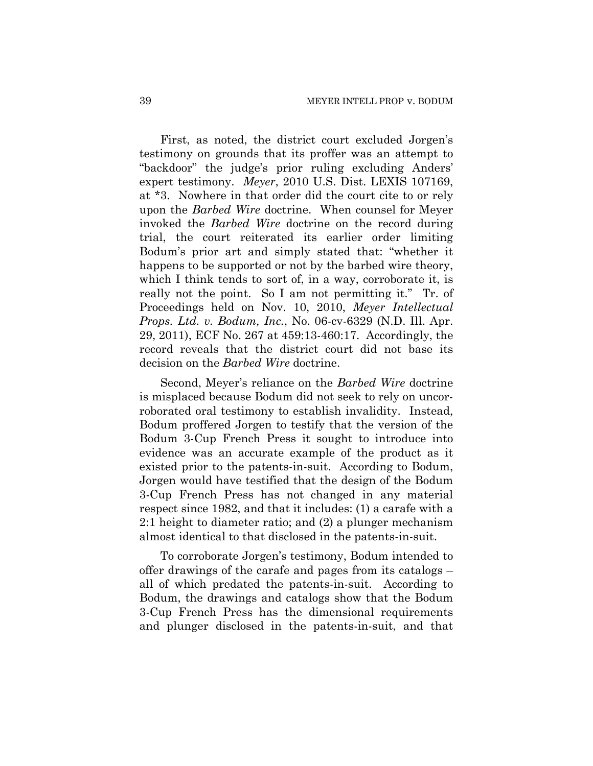First, as noted, the district court excluded Jorgen's testimony on grounds that its proffer was an attempt to "backdoor" the judge's prior ruling excluding Anders' expert testimony. *Meyer*, 2010 U.S. Dist. LEXIS 107169, at \*3. Nowhere in that order did the court cite to or rely upon the *Barbed Wire* doctrine. When counsel for Meyer invoked the *Barbed Wire* doctrine on the record during trial, the court reiterated its earlier order limiting Bodum's prior art and simply stated that: "whether it happens to be supported or not by the barbed wire theory, which I think tends to sort of, in a way, corroborate it, is really not the point. So I am not permitting it." Tr. of Proceedings held on Nov. 10, 2010, *Meyer Intellectual Props. Ltd. v. Bodum, Inc.*, No. 06-cv-6329 (N.D. Ill. Apr. 29, 2011), ECF No. 267 at 459:13-460:17. Accordingly, the record reveals that the district court did not base its decision on the *Barbed Wire* doctrine.

Second, Meyer's reliance on the *Barbed Wire* doctrine is misplaced because Bodum did not seek to rely on uncorroborated oral testimony to establish invalidity. Instead, Bodum proffered Jorgen to testify that the version of the Bodum 3-Cup French Press it sought to introduce into evidence was an accurate example of the product as it existed prior to the patents-in-suit. According to Bodum, Jorgen would have testified that the design of the Bodum 3-Cup French Press has not changed in any material respect since 1982, and that it includes: (1) a carafe with a 2:1 height to diameter ratio; and (2) a plunger mechanism almost identical to that disclosed in the patents-in-suit.

To corroborate Jorgen's testimony, Bodum intended to offer drawings of the carafe and pages from its catalogs – all of which predated the patents-in-suit. According to Bodum, the drawings and catalogs show that the Bodum 3-Cup French Press has the dimensional requirements and plunger disclosed in the patents-in-suit, and that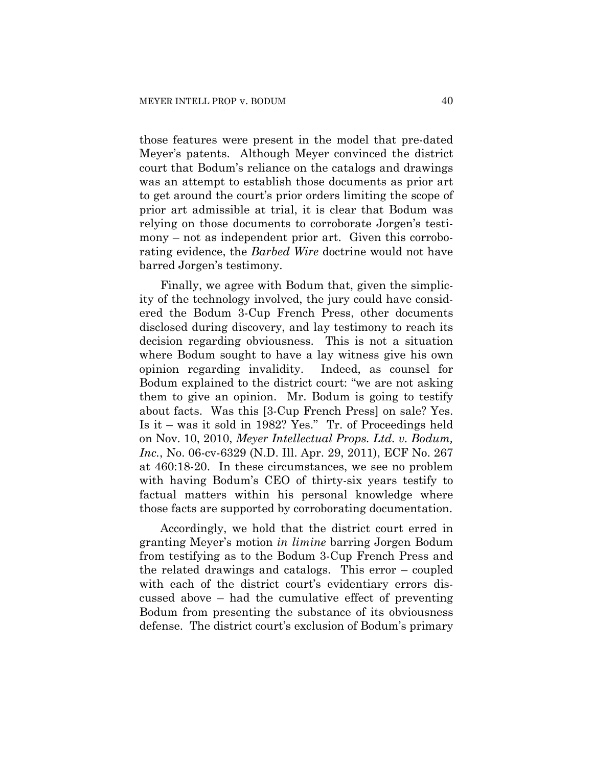those features were present in the model that pre-dated Meyer's patents. Although Meyer convinced the district court that Bodum's reliance on the catalogs and drawings was an attempt to establish those documents as prior art to get around the court's prior orders limiting the scope of prior art admissible at trial, it is clear that Bodum was relying on those documents to corroborate Jorgen's testimony – not as independent prior art. Given this corroborating evidence, the *Barbed Wire* doctrine would not have barred Jorgen's testimony.

Finally, we agree with Bodum that, given the simplicity of the technology involved, the jury could have considered the Bodum 3-Cup French Press, other documents disclosed during discovery, and lay testimony to reach its decision regarding obviousness. This is not a situation where Bodum sought to have a lay witness give his own opinion regarding invalidity. Indeed, as counsel for Bodum explained to the district court: "we are not asking them to give an opinion. Mr. Bodum is going to testify about facts. Was this [3-Cup French Press] on sale? Yes. Is it – was it sold in 1982? Yes." Tr. of Proceedings held on Nov. 10, 2010, *Meyer Intellectual Props. Ltd. v. Bodum, Inc.*, No. 06-cv-6329 (N.D. Ill. Apr. 29, 2011), ECF No. 267 at 460:18-20. In these circumstances, we see no problem with having Bodum's CEO of thirty-six years testify to factual matters within his personal knowledge where those facts are supported by corroborating documentation.

Accordingly, we hold that the district court erred in granting Meyer's motion *in limine* barring Jorgen Bodum from testifying as to the Bodum 3-Cup French Press and the related drawings and catalogs. This error – coupled with each of the district court's evidentiary errors discussed above – had the cumulative effect of preventing Bodum from presenting the substance of its obviousness defense. The district court's exclusion of Bodum's primary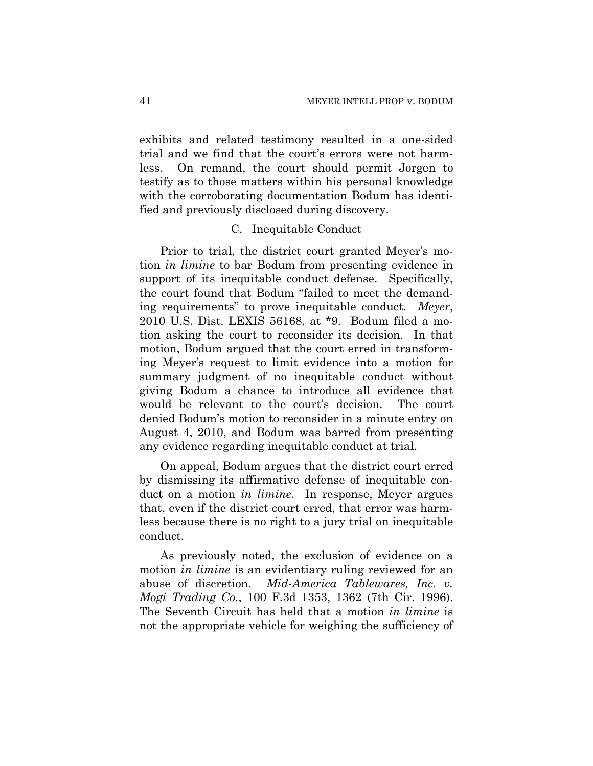exhibits and related testimony resulted in a one-sided trial and we find that the court's errors were not harmless. On remand, the court should permit Jorgen to testify as to those matters within his personal knowledge with the corroborating documentation Bodum has identified and previously disclosed during discovery.

#### C. Inequitable Conduct

Prior to trial, the district court granted Meyer's motion *in limine* to bar Bodum from presenting evidence in support of its inequitable conduct defense. Specifically, the court found that Bodum "failed to meet the demanding requirements" to prove inequitable conduct. *Meyer*, 2010 U.S. Dist. LEXIS 56168, at \*9. Bodum filed a motion asking the court to reconsider its decision. In that motion, Bodum argued that the court erred in transforming Meyer's request to limit evidence into a motion for summary judgment of no inequitable conduct without giving Bodum a chance to introduce all evidence that would be relevant to the court's decision. The court denied Bodum's motion to reconsider in a minute entry on August 4, 2010, and Bodum was barred from presenting any evidence regarding inequitable conduct at trial.

On appeal, Bodum argues that the district court erred by dismissing its affirmative defense of inequitable conduct on a motion *in limine*. In response, Meyer argues that, even if the district court erred, that error was harmless because there is no right to a jury trial on inequitable conduct.

As previously noted, the exclusion of evidence on a motion *in limine* is an evidentiary ruling reviewed for an abuse of discretion. *Mid-America Tablewares, Inc. v. Mogi Trading Co.*, 100 F.3d 1353, 1362 (7th Cir. 1996). The Seventh Circuit has held that a motion *in limine* is not the appropriate vehicle for weighing the sufficiency of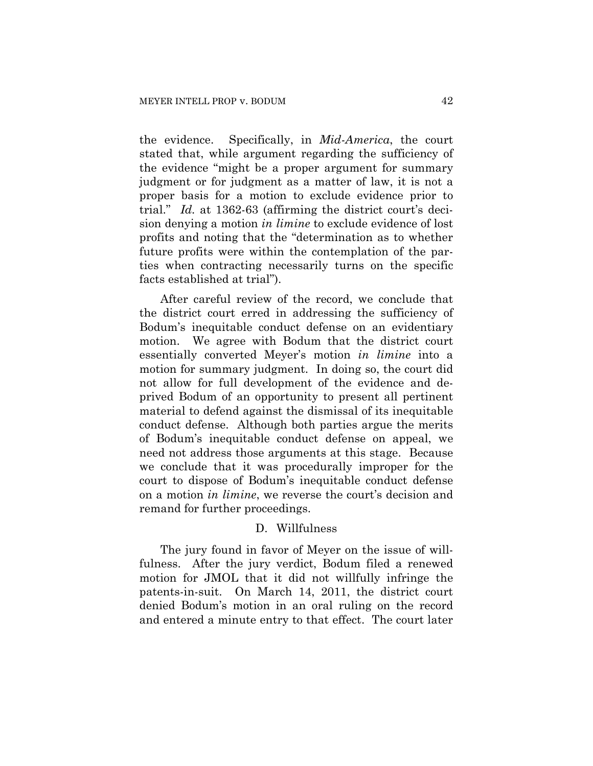the evidence. Specifically, in *Mid-America*, the court stated that, while argument regarding the sufficiency of the evidence "might be a proper argument for summary judgment or for judgment as a matter of law, it is not a proper basis for a motion to exclude evidence prior to trial." *Id.* at 1362-63 (affirming the district court's decision denying a motion *in limine* to exclude evidence of lost profits and noting that the "determination as to whether future profits were within the contemplation of the parties when contracting necessarily turns on the specific facts established at trial").

After careful review of the record, we conclude that the district court erred in addressing the sufficiency of Bodum's inequitable conduct defense on an evidentiary motion. We agree with Bodum that the district court essentially converted Meyer's motion *in limine* into a motion for summary judgment. In doing so, the court did not allow for full development of the evidence and deprived Bodum of an opportunity to present all pertinent material to defend against the dismissal of its inequitable conduct defense. Although both parties argue the merits of Bodum's inequitable conduct defense on appeal, we need not address those arguments at this stage. Because we conclude that it was procedurally improper for the court to dispose of Bodum's inequitable conduct defense on a motion *in limine*, we reverse the court's decision and remand for further proceedings.

## D. Willfulness

The jury found in favor of Meyer on the issue of willfulness. After the jury verdict, Bodum filed a renewed motion for JMOL that it did not willfully infringe the patents-in-suit. On March 14, 2011, the district court denied Bodum's motion in an oral ruling on the record and entered a minute entry to that effect. The court later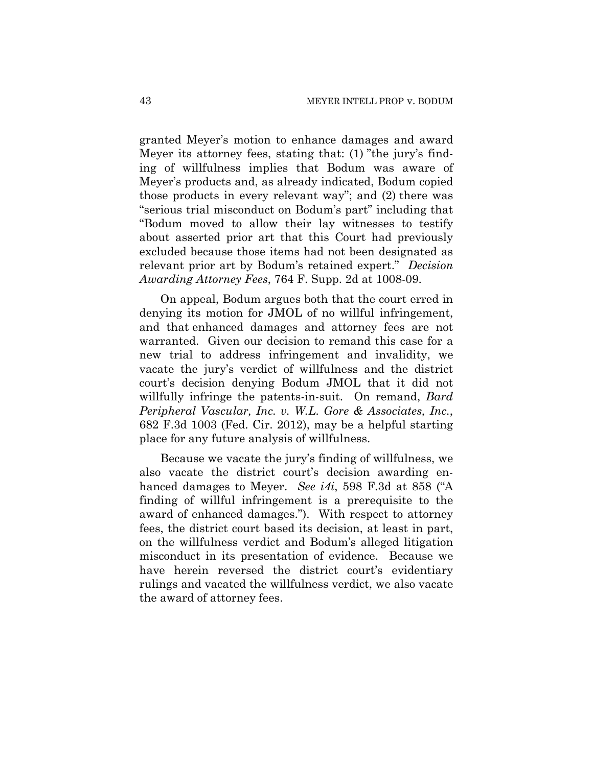granted Meyer's motion to enhance damages and award Meyer its attorney fees, stating that: (1) "the jury's finding of willfulness implies that Bodum was aware of Meyer's products and, as already indicated, Bodum copied those products in every relevant way"; and (2) there was "serious trial misconduct on Bodum's part" including that "Bodum moved to allow their lay witnesses to testify about asserted prior art that this Court had previously excluded because those items had not been designated as relevant prior art by Bodum's retained expert." *Decision Awarding Attorney Fees*, 764 F. Supp. 2d at 1008-09.

On appeal, Bodum argues both that the court erred in denying its motion for JMOL of no willful infringement, and that enhanced damages and attorney fees are not warranted. Given our decision to remand this case for a new trial to address infringement and invalidity, we vacate the jury's verdict of willfulness and the district court's decision denying Bodum JMOL that it did not willfully infringe the patents-in-suit. On remand, *Bard Peripheral Vascular, Inc. v. W.L. Gore & Associates, Inc.*, 682 F.3d 1003 (Fed. Cir. 2012), may be a helpful starting place for any future analysis of willfulness.

Because we vacate the jury's finding of willfulness, we also vacate the district court's decision awarding enhanced damages to Meyer. *See i4i*, 598 F.3d at 858 ("A finding of willful infringement is a prerequisite to the award of enhanced damages."). With respect to attorney fees, the district court based its decision, at least in part, on the willfulness verdict and Bodum's alleged litigation misconduct in its presentation of evidence. Because we have herein reversed the district court's evidentiary rulings and vacated the willfulness verdict, we also vacate the award of attorney fees.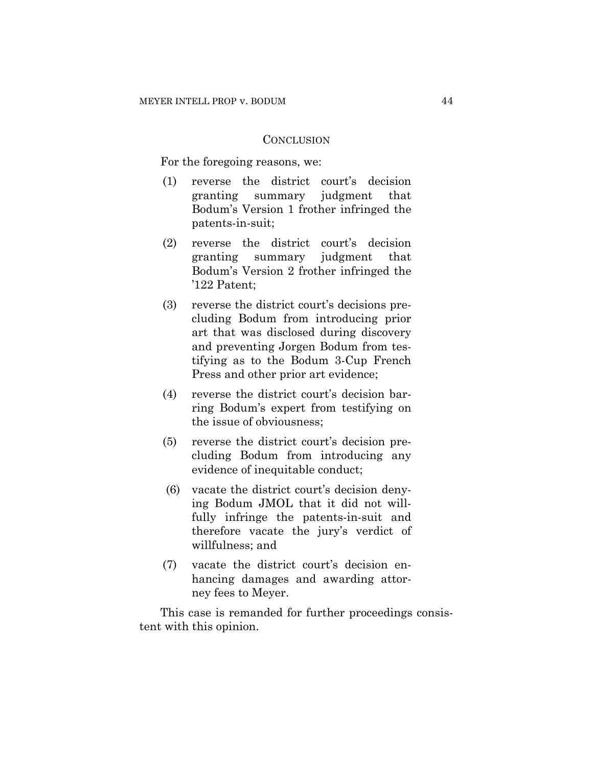#### **CONCLUSION**

For the foregoing reasons, we:

- (1) reverse the district court's decision granting summary judgment that Bodum's Version 1 frother infringed the patents-in-suit;
- (2) reverse the district court's decision granting summary judgment that Bodum's Version 2 frother infringed the '122 Patent;
- (3) reverse the district court's decisions precluding Bodum from introducing prior art that was disclosed during discovery and preventing Jorgen Bodum from testifying as to the Bodum 3-Cup French Press and other prior art evidence;
- (4) reverse the district court's decision barring Bodum's expert from testifying on the issue of obviousness;
- (5) reverse the district court's decision precluding Bodum from introducing any evidence of inequitable conduct;
- (6) vacate the district court's decision denying Bodum JMOL that it did not willfully infringe the patents-in-suit and therefore vacate the jury's verdict of willfulness; and
- (7) vacate the district court's decision enhancing damages and awarding attorney fees to Meyer.

This case is remanded for further proceedings consistent with this opinion.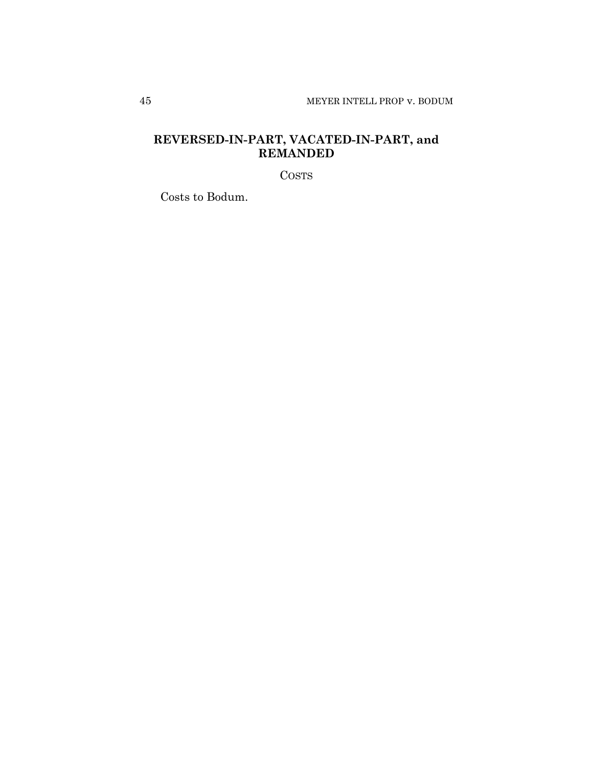# **REVERSED-IN-PART, VACATED-IN-PART, and REMANDED**

COSTS

Costs to Bodum.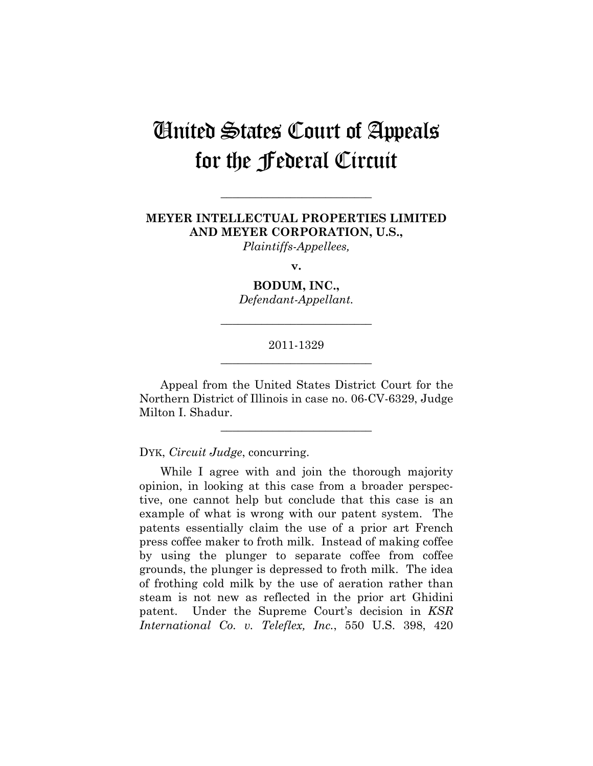# United States Court of Appeals for the Federal Circuit

## **MEYER INTELLECTUAL PROPERTIES LIMITED AND MEYER CORPORATION, U.S.,**

**\_\_\_\_\_\_\_\_\_\_\_\_\_\_\_\_\_\_\_\_\_\_\_\_\_\_** 

*Plaintiffs-Appellees,* 

**v.** 

**BODUM, INC.,** 

*Defendant-Appellant.* 

**\_\_\_\_\_\_\_\_\_\_\_\_\_\_\_\_\_\_\_\_\_\_\_\_\_\_** 

## 2011-1329 **\_\_\_\_\_\_\_\_\_\_\_\_\_\_\_\_\_\_\_\_\_\_\_\_\_\_**

Appeal from the United States District Court for the Northern District of Illinois in case no. 06-CV-6329, Judge Milton I. Shadur.

**\_\_\_\_\_\_\_\_\_\_\_\_\_\_\_\_\_\_\_\_\_\_\_\_\_\_** 

DYK, *Circuit Judge*, concurring.

While I agree with and join the thorough majority opinion, in looking at this case from a broader perspective, one cannot help but conclude that this case is an example of what is wrong with our patent system. The patents essentially claim the use of a prior art French press coffee maker to froth milk. Instead of making coffee by using the plunger to separate coffee from coffee grounds, the plunger is depressed to froth milk. The idea of frothing cold milk by the use of aeration rather than steam is not new as reflected in the prior art Ghidini patent. Under the Supreme Court's decision in *KSR International Co. v. Teleflex, Inc.*, 550 U.S. 398, 420